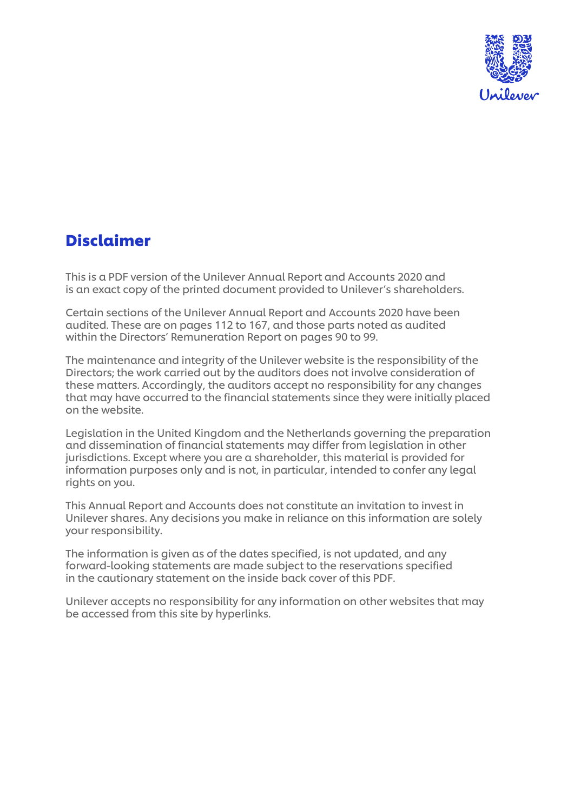

## Disclaimer

This is a PDF version of the Unilever Annual Report and Accounts 2020 and is an exact copy of the printed document provided to Unilever's shareholders.

Certain sections of the Unilever Annual Report and Accounts 2020 have been audited. These are on pages 112 to 167, and those parts noted as audited within the Directors' Remuneration Report on pages 90 to 99.

The maintenance and integrity of the Unilever website is the responsibility of the Directors; the work carried out by the auditors does not involve consideration of these matters. Accordingly, the auditors accept no responsibility for any changes that may have occurred to the financial statements since they were initially placed on the website.

Legislation in the United Kingdom and the Netherlands governing the preparation and dissemination of financial statements may differ from legislation in other jurisdictions. Except where you are a shareholder, this material is provided for information purposes only and is not, in particular, intended to confer any legal rights on you.

This Annual Report and Accounts does not constitute an invitation to invest in Unilever shares. Any decisions you make in reliance on this information are solely your responsibility.

The information is given as of the dates specified, is not updated, and any forward-looking statements are made subject to the reservations specified in the cautionary statement on the inside back cover of this PDF.

Unilever accepts no responsibility for any information on other websites that may be accessed from this site by hyperlinks.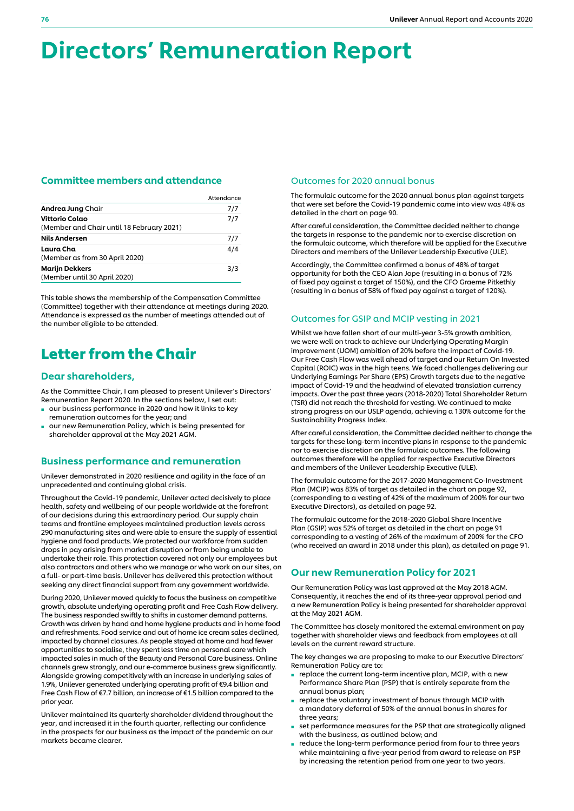# Directors' Remuneration Report

## Committee members and attendance

|                                                             | Attendance |
|-------------------------------------------------------------|------------|
| Andrea Jung Chair                                           | 7/7        |
| Vittorio Colao<br>(Member and Chair until 18 February 2021) | 7/7        |
| <b>Nils Andersen</b>                                        | 7/7        |
| Laura Cha<br>(Member as from 30 April 2020)                 | 4/4        |
| <b>Marijn Dekkers</b><br>(Member until 30 April 2020)       | 3/3        |

This table shows the membership of the Compensation Committee (Committee) together with their attendance at meetings during 2020. Attendance is expressed as the number of meetings attended out of the number eligible to be attended.

## Letter from the Chair

## Dear shareholders,

As the Committee Chair, I am pleased to present Unilever's Directors' Remuneration Report 2020. In the sections below, I set out:

- our business performance in 2020 and how it links to key remuneration outcomes for the year; and
- our new Remuneration Policy, which is being presented for shareholder approval at the May 2021 AGM.

## Business performance and remuneration

Unilever demonstrated in 2020 resilience and agility in the face of an unprecedented and continuing global crisis.

Throughout the Covid-19 pandemic, Unilever acted decisively to place health, safety and wellbeing of our people worldwide at the forefront of our decisions during this extraordinary period. Our supply chain teams and frontline employees maintained production levels across 290 manufacturing sites and were able to ensure the supply of essential hygiene and food products. We protected our workforce from sudden drops in pay arising from market disruption or from being unable to undertake their role. This protection covered not only our employees but also contractors and others who we manage or who work on our sites, on a full- or part-time basis. Unilever has delivered this protection without seeking any direct financial support from any government worldwide.

During 2020, Unilever moved quickly to focus the business on competitive growth, absolute underlying operating profit and Free Cash Flow delivery. The business responded swiftly to shifts in customer demand patterns. Growth was driven by hand and home hygiene products and in home food and refreshments. Food service and out of home ice cream sales declined, impacted by channel closures. As people stayed at home and had fewer opportunities to socialise, they spent less time on personal care which impacted sales in much of the Beauty and Personal Care business. Online channels grew strongly, and our e-commerce business grew significantly. Alongside growing competitively with an increase in underlying sales of 1.9%, Unilever generated underlying operating profit of €9.4 billion and Free Cash Flow of €7.7 billion, an increase of €1.5 billion compared to the prior year.

Unilever maintained its quarterly shareholder dividend throughout the year, and increased it in the fourth quarter, reflecting our confidence in the prospects for our business as the impact of the pandemic on our markets became clearer.

#### Outcomes for 2020 annual bonus

The formulaic outcome for the 2020 annual bonus plan against targets that were set before the Covid-19 pandemic came into view was 48% as detailed in the chart on page 90.

After careful consideration, the Committee decided neither to change the targets in response to the pandemic nor to exercise discretion on the formulaic outcome, which therefore will be applied for the Executive Directors and members of the Unilever Leadership Executive (ULE).

Accordingly, the Committee confirmed a bonus of 48% of target opportunity for both the CEO Alan Jope (resulting in a bonus of 72% of fixed pay against a target of 150%), and the CFO Graeme Pitkethly (resulting in a bonus of 58% of fixed pay against a target of 120%).

## Outcomes for GSIP and MCIP vesting in 2021

Whilst we have fallen short of our multi-year 3-5% growth ambition, we were well on track to achieve our Underlying Operating Margin improvement (UOM) ambition of 20% before the impact of Covid-19. Our Free Cash Flow was well ahead of target and our Return On Invested Capital (ROIC) was in the high teens. We faced challenges delivering our Underlying Earnings Per Share (EPS) Growth targets due to the negative impact of Covid-19 and the headwind of elevated translation currency impacts. Over the past three years (2018-2020) Total Shareholder Return (TSR) did not reach the threshold for vesting. We continued to make strong progress on our USLP agenda, achieving a 130% outcome for the Sustainability Progress Index.

After careful consideration, the Committee decided neither to change the targets for these long-term incentive plans in response to the pandemic nor to exercise discretion on the formulaic outcomes. The following outcomes therefore will be applied for respective Executive Directors and members of the Unilever Leadership Executive (ULE).

The formulaic outcome for the 2017-2020 Management Co-Investment Plan (MCIP) was 83% of target as detailed in the chart on page 92, (corresponding to a vesting of 42% of the maximum of 200% for our two Executive Directors), as detailed on page 92.

The formulaic outcome for the 2018-2020 Global Share Incentive Plan (GSIP) was 52% of target as detailed in the chart on page 91 corresponding to a vesting of 26% of the maximum of 200% for the CFO (who received an award in 2018 under this plan), as detailed on page 91.

## Our new Remuneration Policy for 2021

Our Remuneration Policy was last approved at the May 2018 AGM. Consequently, it reaches the end of its three-year approval period and a new Remuneration Policy is being presented for shareholder approval at the May 2021 AGM.

The Committee has closely monitored the external environment on pay together with shareholder views and feedback from employees at all levels on the current reward structure.

The key changes we are proposing to make to our Executive Directors' Remuneration Policy are to:

- replace the current long-term incentive plan, MCIP, with a new Performance Share Plan (PSP) that is entirely separate from the annual bonus plan;
- replace the voluntary investment of bonus through MCIP with a mandatory deferral of 50% of the annual bonus in shares for three years;
- set performance measures for the PSP that are strategically aligned with the business, as outlined below; and
- reduce the long-term performance period from four to three years while maintaining a five-year period from award to release on PSP by increasing the retention period from one year to two years.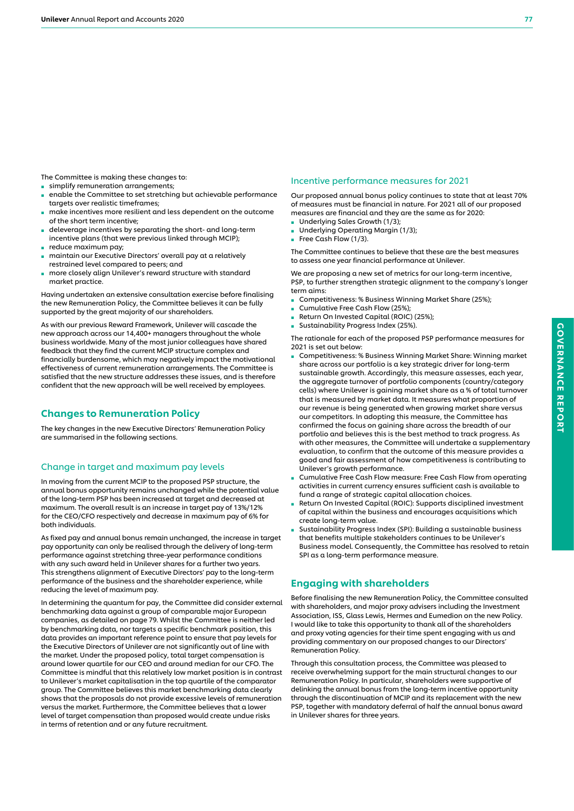The Committee is making these changes to:

- **■** simplify remuneration arrangements;
- enable the Committee to set stretching but achievable performance targets over realistic timeframes;
- make incentives more resilient and less dependent on the outcome of the short term incentive;
- deleverage incentives by separating the short- and long-term incentive plans (that were previous linked through MCIP);
- reduce maximum pay;
- maintain our Executive Directors' overall pay at a relatively restrained level compared to peers; and
- more closely align Unilever's reward structure with standard market practice.

Having undertaken an extensive consultation exercise before finalising the new Remuneration Policy, the Committee believes it can be fully supported by the great majority of our shareholders.

As with our previous Reward Framework, Unilever will cascade the new approach across our 14,400+ managers throughout the whole business worldwide. Many of the most junior colleagues have shared feedback that they find the current MCIP structure complex and financially burdensome, which may negatively impact the motivational effectiveness of current remuneration arrangements. The Committee is satisfied that the new structure addresses these issues, and is therefore confident that the new approach will be well received by employees.

## Changes to Remuneration Policy

The key changes in the new Executive Directors' Remuneration Policy are summarised in the following sections.

## Change in target and maximum pay levels

In moving from the current MCIP to the proposed PSP structure, the annual bonus opportunity remains unchanged while the potential value of the long-term PSP has been increased at target and decreased at maximum. The overall result is an increase in target pay of 13%/12% for the CEO/CFO respectively and decrease in maximum pay of 6% for both individuals.

As fixed pay and annual bonus remain unchanged, the increase in target pay opportunity can only be realised through the delivery of long-term performance against stretching three-year performance conditions with any such award held in Unilever shares for a further two years. This strengthens alignment of Executive Directors' pay to the long-term performance of the business and the shareholder experience, while reducing the level of maximum pay.

In determining the quantum for pay, the Committee did consider external benchmarking data against a group of comparable major European companies, as detailed on page 79. Whilst the Committee is neither led by benchmarking data, nor targets a specific benchmark position, this data provides an important reference point to ensure that pay levels for the Executive Directors of Unilever are not significantly out of line with the market. Under the proposed policy, total target compensation is around lower quartile for our CEO and around median for our CFO. The Committee is mindful that this relatively low market position is in contrast to Unilever's market capitalisation in the top quartile of the comparator group. The Committee believes this market benchmarking data clearly shows that the proposals do not provide excessive levels of remuneration versus the market. Furthermore, the Committee believes that a lower level of target compensation than proposed would create undue risks in terms of retention and or any future recruitment.

## Incentive performance measures for 2021

Our proposed annual bonus policy continues to state that at least 70% of measures must be financial in nature. For 2021 all of our proposed measures are financial and they are the same as for 2020:

- Underlying Sales Growth (1/3);
- Underlying Operating Margin (1/3);
- Free Cash Flow (1/3).

The Committee continues to believe that these are the best measures to assess one year financial performance at Unilever.

We are proposing a new set of metrics for our long-term incentive, PSP, to further strengthen strategic alignment to the company's longer term aims:

- Competitiveness: % Business Winning Market Share (25%);
- Cumulative Free Cash Flow (25%);
- Return On Invested Capital (ROIC) (25%);
- Sustainability Progress Index (25%).

The rationale for each of the proposed PSP performance measures for 2021 is set out below:

- Competitiveness: % Business Winning Market Share: Winning market share across our portfolio is a key strategic driver for long-term sustainable growth. Accordingly, this measure assesses, each year, the aggregate turnover of portfolio components (country/category cells) where Unilever is gaining market share as a % of total turnover that is measured by market data. It measures what proportion of our revenue is being generated when growing market share versus our competitors. In adopting this measure, the Committee has confirmed the focus on gaining share across the breadth of our portfolio and believes this is the best method to track progress. As with other measures, the Committee will undertake a supplementary evaluation, to confirm that the outcome of this measure provides a good and fair assessment of how competitiveness is contributing to Unilever's growth performance.
- Cumulative Free Cash Flow measure: Free Cash Flow from operating activities in current currency ensures sufficient cash is available to fund a range of strategic capital allocation choices.
- Return On Invested Capital (ROIC): Supports disciplined investment of capital within the business and encourages acquisitions which create long-term value.
- Sustainability Progress Index (SPI): Building a sustainable business that benefits multiple stakeholders continues to be Unilever's Business model. Consequently, the Committee has resolved to retain SPI as a long-term performance measure.

## Engaging with shareholders

Before finalising the new Remuneration Policy, the Committee consulted with shareholders, and major proxy advisers including the Investment Association, ISS, Glass Lewis, Hermes and Eumedion on the new Policy. I would like to take this opportunity to thank all of the shareholders and proxy voting agencies for their time spent engaging with us and providing commentary on our proposed changes to our Directors' Remuneration Policy.

Through this consultation process, the Committee was pleased to receive overwhelming support for the main structural changes to our Remuneration Policy. In particular, shareholders were supportive of delinking the annual bonus from the long-term incentive opportunity through the discontinuation of MCIP and its replacement with the new PSP, together with mandatory deferral of half the annual bonus award in Unilever shares for three years.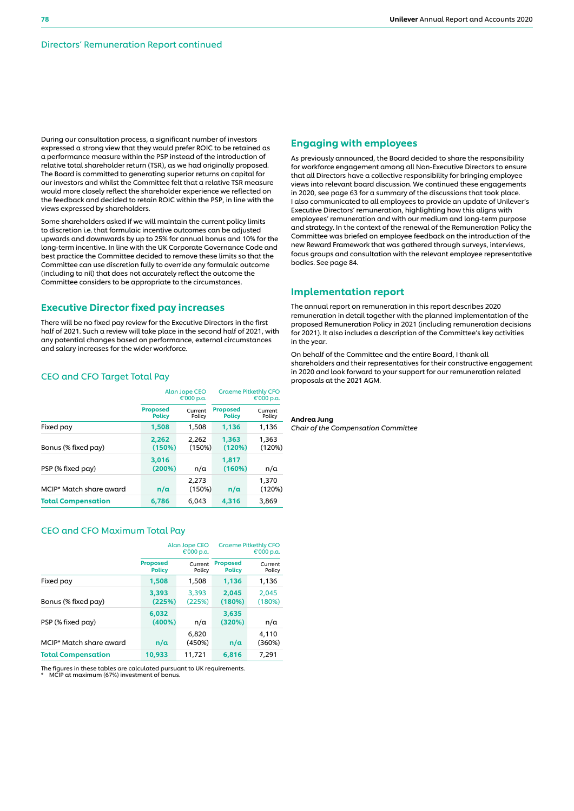During our consultation process, a significant number of investors expressed a strong view that they would prefer ROIC to be retained as a performance measure within the PSP instead of the introduction of relative total shareholder return (TSR), as we had originally proposed. The Board is committed to generating superior returns on capital for our investors and whilst the Committee felt that a relative TSR measure would more closely reflect the shareholder experience we reflected on the feedback and decided to retain ROIC within the PSP, in line with the views expressed by shareholders.

Some shareholders asked if we will maintain the current policy limits to discretion i.e. that formulaic incentive outcomes can be adjusted upwards and downwards by up to 25% for annual bonus and 10% for the long-term incentive. In line with the UK Corporate Governance Code and best practice the Committee decided to remove these limits so that the Committee can use discretion fully to override any formulaic outcome (including to nil) that does not accurately reflect the outcome the Committee considers to be appropriate to the circumstances.

## Executive Director fixed pay increases

There will be no fixed pay review for the Executive Directors in the first half of 2021. Such a review will take place in the second half of 2021, with any potential changes based on performance, external circumstances and salary increases for the wider workforce.

## CEO and CFO Target Total Pay

|                           |                                  | <b>Alan Jope CEO</b><br>€'000 p.a. | <b>Graeme Pitkethly CFO</b><br>€'000 p.a. |                   |  |
|---------------------------|----------------------------------|------------------------------------|-------------------------------------------|-------------------|--|
|                           | <b>Proposed</b><br><b>Policy</b> | Current<br>Policy                  | <b>Proposed</b><br><b>Policy</b>          | Current<br>Policy |  |
| Fixed pay                 | 1,508                            | 1,508                              | 1,136                                     | 1,136             |  |
| Bonus (% fixed pay)       | 2.262<br>(150%)                  | 2.262<br>(150%)                    | 1.363<br>(120%)                           | 1.363<br>(120%)   |  |
| PSP (% fixed pay)         | 3.016<br>(200%)                  | n/a                                | 1.817<br>(160%)                           | n/a               |  |
| MCIP* Match share award   | n/a                              | 2,273<br>(150%)                    | n/a                                       | 1,370<br>(120%)   |  |
| <b>Total Compensation</b> | 6,786                            | 6,043                              | 4,316                                     | 3,869             |  |

## CEO and CFO Maximum Total Pay

|                           |                                                       | <b>Alan Jope CEO</b><br>€'000 p.a. | <b>Graeme Pitkethly CFO</b><br>€'000 p.a. |                   |  |
|---------------------------|-------------------------------------------------------|------------------------------------|-------------------------------------------|-------------------|--|
|                           | <b>Proposed</b><br>Current<br><b>Policy</b><br>Policy |                                    | <b>Proposed</b><br><b>Policy</b>          | Current<br>Policy |  |
| Fixed pay                 | 1,508                                                 | 1,508                              | 1,136                                     | 1,136             |  |
| Bonus (% fixed pay)       | 3,393<br>(225%)                                       | 3,393<br>(225%)                    | 2.045<br>(180%)                           | 2.045<br>(180%)   |  |
| PSP (% fixed pay)         | 6,032<br>(400%)                                       | n/a                                | 3,635<br>(320%)                           | n/a               |  |
| MCIP* Match share award   | n/a                                                   | 6,820<br>(450%)                    | n/a                                       | 4,110<br>(360%)   |  |
| <b>Total Compensation</b> | 10,933                                                | 11.721                             | 6.816                                     | 7.291             |  |

The figures in these tables are calculated pursuant to UK requirements.

MCIP at maximum (67%) investment of bonus

## Engaging with employees

As previously announced, the Board decided to share the responsibility for workforce engagement among all Non-Executive Directors to ensure that all Directors have a collective responsibility for bringing employee views into relevant board discussion. We continued these engagements in 2020, see page 63 for a summary of the discussions that took place. I also communicated to all employees to provide an update of Unilever's Executive Directors' remuneration, highlighting how this aligns with employees' remuneration and with our medium and long-term purpose and strategy. In the context of the renewal of the Remuneration Policy the Committee was briefed on employee feedback on the introduction of the new Reward Framework that was gathered through surveys, interviews, focus groups and consultation with the relevant employee representative bodies. See page 84.

## Implementation report

The annual report on remuneration in this report describes 2020 remuneration in detail together with the planned implementation of the proposed Remuneration Policy in 2021 (including remuneration decisions for 2021). It also includes a description of the Committee's key activities in the year.

On behalf of the Committee and the entire Board, I thank all shareholders and their representatives for their constructive engagement in 2020 and look forward to your support for our remuneration related proposals at the 2021 AGM.

Andrea Jung *Chair of the Compensation Committee*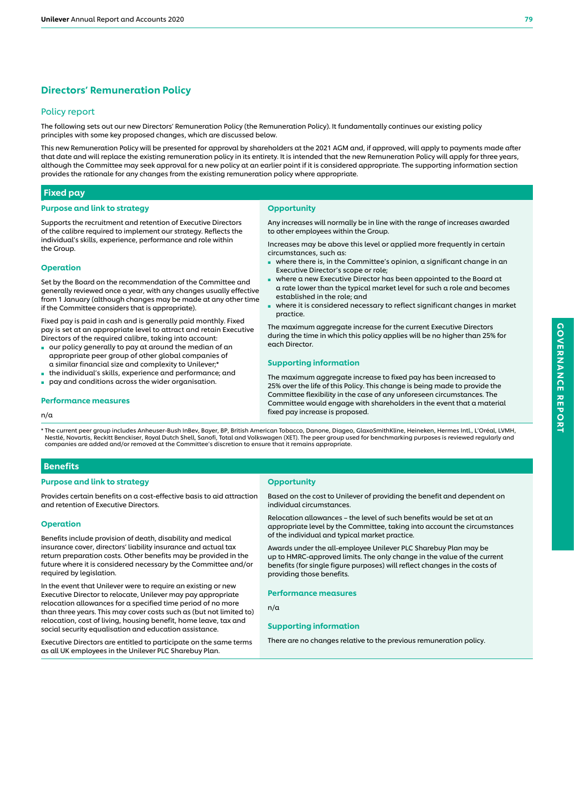## Directors' Remuneration Policy

## Policy report

The following sets out our new Directors' Remuneration Policy (the Remuneration Policy). It fundamentally continues our existing policy principles with some key proposed changes, which are discussed below.

This new Remuneration Policy will be presented for approval by shareholders at the 2021 AGM and, if approved, will apply to payments made after that date and will replace the existing remuneration policy in its entirety. It is intended that the new Remuneration Policy will apply for three years, although the Committee may seek approval for a new policy at an earlier point if it is considered appropriate. The supporting information section provides the rationale for any changes from the existing remuneration policy where appropriate.

**Opportunity** 

practice.

each Director.

circumstances, such as:

#### Fixed pay

#### Purpose and link to strategy

Supports the recruitment and retention of Executive Directors of the calibre required to implement our strategy. Reflects the individual's skills, experience, performance and role within the Group.

### Operation

Set by the Board on the recommendation of the Committee and generally reviewed once a year, with any changes usually effective from 1 January (although changes may be made at any other time if the Committee considers that is appropriate).

Fixed pay is paid in cash and is generally paid monthly. Fixed pay is set at an appropriate level to attract and retain Executive Directors of the required calibre, taking into account:

- our policy generally to pay at around the median of an appropriate peer group of other global companies of a similar financial size and complexity to Unilever;\*
- the individual's skills, experience and performance; and
- pay and conditions across the wider organisation.

#### Performance measures

#### n/a

\* The current peer group includes Anheuser-Bush InBev, Bayer, BP, British American Tobacco, Danone, Diageo, GlaxoSmithKline, Heineken, Hermes Intl., L'Oréal, LVMH, Nestlé, Novartis, Reckitt Benckiser, Royal Dutch Shell, Sanofi, Total and Volkswagen (XET). The peer group used for benchmarking purposes is reviewed regularly and<br>companies are added and/or removed at the Committee's disc

## Benefits

#### Purpose and link to strategy

Provides certain benefits on a cost-effective basis to aid attraction and retention of Executive Directors.

#### Operation

Benefits include provision of death, disability and medical insurance cover, directors' liability insurance and actual tax return preparation costs. Other benefits may be provided in the future where it is considered necessary by the Committee and/or required by legislation.

In the event that Unilever were to require an existing or new Executive Director to relocate, Unilever may pay appropriate relocation allowances for a specified time period of no more than three years. This may cover costs such as (but not limited to) relocation, cost of living, housing benefit, home leave, tax and social security equalisation and education assistance.

Executive Directors are entitled to participate on the same terms as all UK employees in the Unilever PLC Sharebuy Plan.

#### **Opportunity**

Based on the cost to Unilever of providing the benefit and dependent on individual circumstances.

Relocation allowances – the level of such benefits would be set at an appropriate level by the Committee, taking into account the circumstances of the individual and typical market practice.

Awards under the all-employee Unilever PLC Sharebuy Plan may be up to HMRC-approved limits. The only change in the value of the current benefits (for single figure purposes) will reflect changes in the costs of providing those benefits.

Performance measures

#### n/a

#### Supporting information

There are no changes relative to the previous remuneration policy.

#### Supporting information

to other employees within the Group.

Executive Director's scope or role;

established in the role; and

The maximum aggregate increase to fixed pay has been increased to 25% over the life of this Policy. This change is being made to provide the Committee flexibility in the case of any unforeseen circumstances. The Committee would engage with shareholders in the event that a material fixed pay increase is proposed.

Any increases will normally be in line with the range of increases awarded

Increases may be above this level or applied more frequently in certain

■ where a new Executive Director has been appointed to the Board at a rate lower than the typical market level for such a role and becomes

The maximum aggregate increase for the current Executive Directors during the time in which this policy applies will be no higher than 25% for

where there is, in the Committee's opinion, a significant change in an

where it is considered necessary to reflect significant changes in market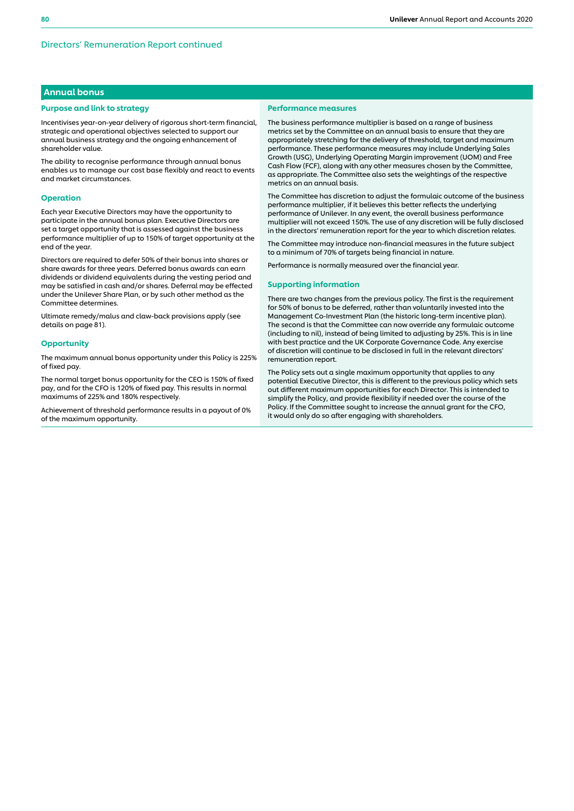## Annual bonus

#### Purpose and link to strategy

Incentivises year-on-year delivery of rigorous short-term financial, strategic and operational objectives selected to support our annual business strategy and the ongoing enhancement of shareholder value.

The ability to recognise performance through annual bonus enables us to manage our cost base flexibly and react to events and market circumstances.

#### Operation

Each year Executive Directors may have the opportunity to participate in the annual bonus plan. Executive Directors are set a target opportunity that is assessed against the business performance multiplier of up to 150% of target opportunity at the end of the year.

Directors are required to defer 50% of their bonus into shares or share awards for three years. Deferred bonus awards can earn dividends or dividend equivalents during the vesting period and may be satisfied in cash and/or shares. Deferral may be effected under the Unilever Share Plan, or by such other method as the Committee determines.

Ultimate remedy/malus and claw-back provisions apply (see details on page 81).

#### **Opportunity**

The maximum annual bonus opportunity under this Policy is 225% of fixed pay.

The normal target bonus opportunity for the CEO is 150% of fixed pay, and for the CFO is 120% of fixed pay. This results in normal maximums of 225% and 180% respectively.

Achievement of threshold performance results in a payout of 0% of the maximum opportunity.

#### Performance measures

The business performance multiplier is based on a range of business metrics set by the Committee on an annual basis to ensure that they are appropriately stretching for the delivery of threshold, target and maximum performance. These performance measures may include Underlying Sales Growth (USG), Underlying Operating Margin improvement (UOM) and Free Cash Flow (FCF), along with any other measures chosen by the Committee, as appropriate. The Committee also sets the weightings of the respective metrics on an annual basis.

The Committee has discretion to adjust the formulaic outcome of the business performance multiplier, if it believes this better reflects the underlying performance of Unilever. In any event, the overall business performance multiplier will not exceed 150%. The use of any discretion will be fully disclosed in the directors' remuneration report for the year to which discretion relates.

The Committee may introduce non-financial measures in the future subject to a minimum of 70% of targets being financial in nature.

Performance is normally measured over the financial year.

#### Supporting information

There are two changes from the previous policy. The first is the requirement for 50% of bonus to be deferred, rather than voluntarily invested into the Management Co-Investment Plan (the historic long-term incentive plan). The second is that the Committee can now override any formulaic outcome (including to nil), instead of being limited to adjusting by 25%. This is in line with best practice and the UK Corporate Governance Code. Any exercise of discretion will continue to be disclosed in full in the relevant directors' remuneration report.

The Policy sets out a single maximum opportunity that applies to any potential Executive Director, this is different to the previous policy which sets out different maximum opportunities for each Director. This is intended to simplify the Policy, and provide flexibility if needed over the course of the Policy. If the Committee sought to increase the annual grant for the CFO, it would only do so after engaging with shareholders.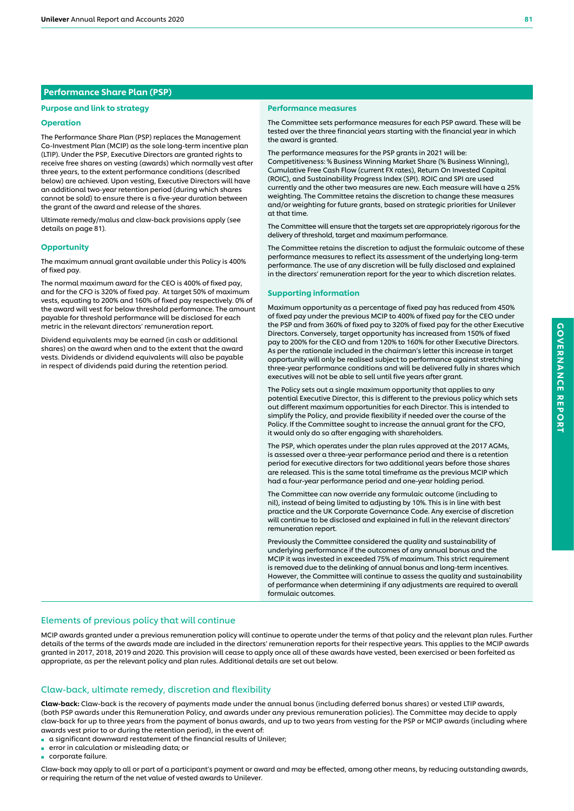## Performance Share Plan (PSP)

#### Purpose and link to strategy

#### Operation

The Performance Share Plan (PSP) replaces the Management Co-Investment Plan (MCIP) as the sole long-term incentive plan (LTIP). Under the PSP, Executive Directors are granted rights to receive free shares on vesting (awards) which normally vest after three years, to the extent performance conditions (described below) are achieved. Upon vesting, Executive Directors will have an additional two-year retention period (during which shares cannot be sold) to ensure there is a five-year duration between the grant of the award and release of the shares.

Ultimate remedy/malus and claw-back provisions apply (see details on page 81).

#### **Opportunity**

The maximum annual grant available under this Policy is 400% of fixed pay.

The normal maximum award for the CEO is 400% of fixed pay, and for the CFO is 320% of fixed pay. At target 50% of maximum vests, equating to 200% and 160% of fixed pay respectively. 0% of the award will vest for below threshold performance. The amount payable for threshold performance will be disclosed for each metric in the relevant directors' remuneration report.

Dividend equivalents may be earned (in cash or additional shares) on the award when and to the extent that the award vests. Dividends or dividend equivalents will also be payable in respect of dividends paid during the retention period.

#### Performance measures

The Committee sets performance measures for each PSP award. These will be tested over the three financial years starting with the financial year in which the award is granted.

The performance measures for the PSP grants in 2021 will be: Competitiveness: % Business Winning Market Share (% Business Winning), Cumulative Free Cash Flow (current FX rates), Return On Invested Capital (ROIC), and Sustainability Progress Index (SPI). ROIC and SPI are used currently and the other two measures are new. Each measure will have a 25% weighting. The Committee retains the discretion to change these measures and/or weighting for future grants, based on strategic priorities for Unilever at that time.

The Committee will ensure that the targets set are appropriately rigorous for the delivery of threshold, target and maximum performance.

The Committee retains the discretion to adjust the formulaic outcome of these performance measures to reflect its assessment of the underlying long-term performance. The use of any discretion will be fully disclosed and explained in the directors' remuneration report for the year to which discretion relates.

#### Supporting information

Maximum opportunity as a percentage of fixed pay has reduced from 450% of fixed pay under the previous MCIP to 400% of fixed pay for the CEO under the PSP and from 360% of fixed pay to 320% of fixed pay for the other Executive Directors. Conversely, target opportunity has increased from 150% of fixed pay to 200% for the CEO and from 120% to 160% for other Executive Directors. As per the rationale included in the chairman's letter this increase in target opportunity will only be realised subject to performance against stretching three-year performance conditions and will be delivered fully in shares which executives will not be able to sell until five years after grant.

The Policy sets out a single maximum opportunity that applies to any potential Executive Director, this is different to the previous policy which sets out different maximum opportunities for each Director. This is intended to simplify the Policy, and provide flexibility if needed over the course of the Policy. If the Committee sought to increase the annual grant for the CFO, it would only do so after engaging with shareholders.

The PSP, which operates under the plan rules approved at the 2017 AGMs, is assessed over a three-year performance period and there is a retention period for executive directors for two additional years before those shares are released. This is the same total timeframe as the previous MCIP which had a four-year performance period and one-year holding period.

The Committee can now override any formulaic outcome (including to nil), instead of being limited to adjusting by 10%. This is in line with best practice and the UK Corporate Governance Code. Any exercise of discretion will continue to be disclosed and explained in full in the relevant directors' remuneration report.

Previously the Committee considered the quality and sustainability of underlying performance if the outcomes of any annual bonus and the MCIP it was invested in exceeded 75% of maximum. This strict requirement is removed due to the delinking of annual bonus and long-term incentives. However, the Committee will continue to assess the quality and sustainability of performance when determining if any adjustments are required to overall formulaic outcomes.

#### Elements of previous policy that will continue

MCIP awards granted under a previous remuneration policy will continue to operate under the terms of that policy and the relevant plan rules. Further details of the terms of the awards made are included in the directors' remuneration reports for their respective years. This applies to the MCIP awards granted in 2017, 2018, 2019 and 2020. This provision will cease to apply once all of these awards have vested, been exercised or been forfeited as appropriate, as per the relevant policy and plan rules. Additional details are set out below.

#### Claw-back, ultimate remedy, discretion and flexibility

Claw-back: Claw-back is the recovery of payments made under the annual bonus (including deferred bonus shares) or vested LTIP awards, (both PSP awards under this Remuneration Policy, and awards under any previous remuneration policies). The Committee may decide to apply claw-back for up to three years from the payment of bonus awards, and up to two years from vesting for the PSP or MCIP awards (including where awards vest prior to or during the retention period), in the event of:

- a significant downward restatement of the financial results of Unilever;
- error in calculation or misleading data; or
- corporate failure.

Claw-back may apply to all or part of a participant's payment or award and may be effected, among other means, by reducing outstanding awards, or requiring the return of the net value of vested awards to Unilever.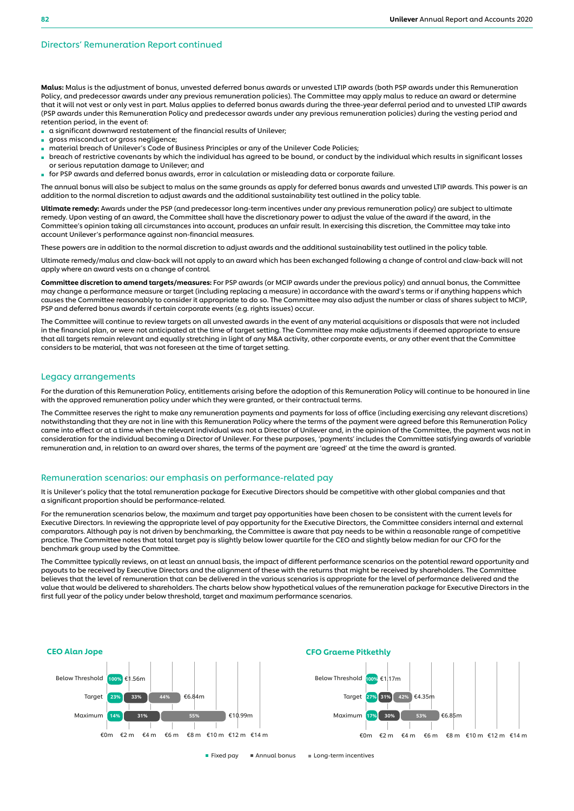#### Directors' Remuneration Report continued

Malus: Malus is the adjustment of bonus, unvested deferred bonus awards or unvested LTIP awards (both PSP awards under this Remuneration Policy, and predecessor awards under any previous remuneration policies). The Committee may apply malus to reduce an award or determine that it will not vest or only vest in part. Malus applies to deferred bonus awards during the three-year deferral period and to unvested LTIP awards (PSP awards under this Remuneration Policy and predecessor awards under any previous remuneration policies) during the vesting period and retention period*,* in the event of:

- a significant downward restatement of the financial results of Unilever
- gross misconduct or gross negligence;
- material breach of Unilever's Code of Business Principles or any of the Unilever Code Policies;
- breach of restrictive covenants by which the individual has agreed to be bound, or conduct by the individual which results in significant losses or serious reputation damage to Unilever; and
- for PSP awards and deferred bonus awards, error in calculation or misleading data or corporate failure.

The annual bonus will also be subject to malus on the same grounds as apply for deferred bonus awards and unvested LTIP awards. This power is an addition to the normal discretion to adjust awards and the additional sustainability test outlined in the policy table.

Ultimate remedy: Awards under the PSP (and predecessor long-term incentives under any previous remuneration policy) are subject to ultimate remedy. Upon vesting of an award, the Committee shall have the discretionary power to adjust the value of the award if the award, in the Committee's opinion taking all circumstances into account, produces an unfair result. In exercising this discretion, the Committee may take into account Unilever's performance against non-financial measures.

These powers are in addition to the normal discretion to adjust awards and the additional sustainability test outlined in the policy table.

Ultimate remedy/malus and claw-back will not apply to an award which has been exchanged following a change of control and claw-back will not apply where an award vests on a change of control.

Committee discretion to amend targets/measures: For PSP awards (or MCIP awards under the previous policy) and annual bonus, the Committee may change a performance measure or target (including replacing a measure) in accordance with the award's terms or if anything happens which causes the Committee reasonably to consider it appropriate to do so. The Committee may also adjust the number or class of shares subject to MCIP, PSP and deferred bonus awards if certain corporate events (e.g. rights issues) occur.

The Committee will continue to review targets on all unvested awards in the event of any material acquisitions or disposals that were not included in the financial plan, or were not anticipated at the time of target setting. The Committee may make adjustments if deemed appropriate to ensure that all targets remain relevant and equally stretching in light of any M&A activity, other corporate events, or any other event that the Committee considers to be material, that was not foreseen at the time of target setting.

#### Legacy arrangements

For the duration of this Remuneration Policy, entitlements arising before the adoption of this Remuneration Policy will continue to be honoured in line with the approved remuneration policy under which they were granted, or their contractual terms.

The Committee reserves the right to make any remuneration payments and payments for loss of office (including exercising any relevant discretions) notwithstanding that they are not in line with this Remuneration Policy where the terms of the payment were agreed before this Remuneration Policy came into effect or at a time when the relevant individual was not a Director of Unilever and, in the opinion of the Committee, the payment was not in consideration for the individual becoming a Director of Unilever. For these purposes, 'payments' includes the Committee satisfying awards of variable remuneration and, in relation to an award over shares, the terms of the payment are 'agreed' at the time the award is granted.

## Remuneration scenarios: our emphasis on performance-related pay

It is Unilever's policy that the total remuneration package for Executive Directors should be competitive with other global companies and that a significant proportion should be performance-related.

For the remuneration scenarios below, the maximum and target pay opportunities have been chosen to be consistent with the current levels for Executive Directors. In reviewing the appropriate level of pay opportunity for the Executive Directors, the Committee considers internal and external comparators. Although pay is not driven by benchmarking, the Committee is aware that pay needs to be within a reasonable range of competitive practice. The Committee notes that total target pay is slightly below lower quartile for the CEO and slightly below median for our CFO for the benchmark group used by the Committee.

The Committee typically reviews, on at least an annual basis, the impact of different performance scenarios on the potential reward opportunity and payouts to be received by Executive Directors and the alignment of these with the returns that might be received by shareholders. The Committee believes that the level of remuneration that can be delivered in the various scenarios is appropriate for the level of performance delivered and the value that would be delivered to shareholders. The charts below show hypothetical values of the remuneration package for Executive Directors in the first full year of the policy under below threshold, target and maximum performance scenarios.

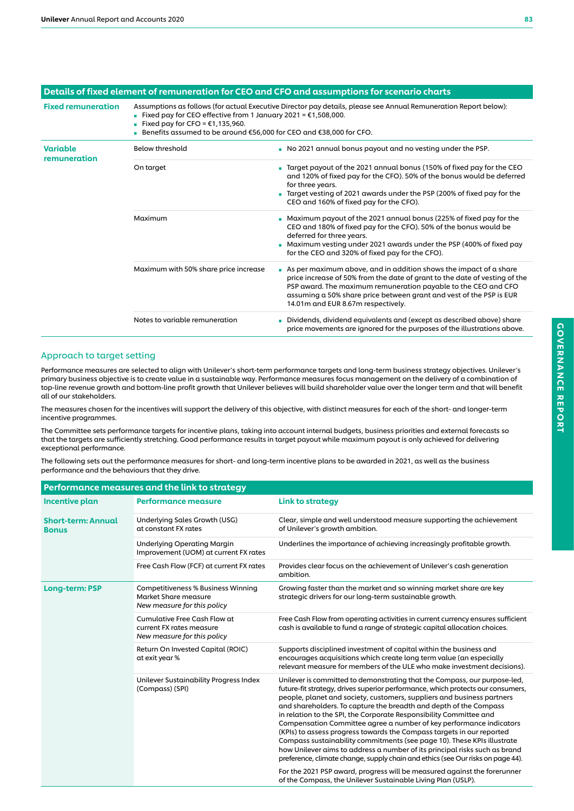|                                 |                                                                                                                                                                                                                                                                                                      | Details of fixed element of remuneration for CEO and CFO and assumptions for scenario charts                                                                                                                                                                                                                                   |  |  |  |
|---------------------------------|------------------------------------------------------------------------------------------------------------------------------------------------------------------------------------------------------------------------------------------------------------------------------------------------------|--------------------------------------------------------------------------------------------------------------------------------------------------------------------------------------------------------------------------------------------------------------------------------------------------------------------------------|--|--|--|
| <b>Fixed remuneration</b>       | Assumptions as follows (for actual Executive Director pay details, please see Annual Remuneration Report below):<br>■ Fixed pay for CEO effective from 1 January 2021 = $€1,508,000$ .<br>■ Fixed pay for CFO = $€1,135,960$ .<br>Benefits assumed to be around €56,000 for CEO and €38,000 for CFO. |                                                                                                                                                                                                                                                                                                                                |  |  |  |
| <b>Variable</b><br>remuneration | <b>Below threshold</b>                                                                                                                                                                                                                                                                               | No 2021 annual bonus payout and no vesting under the PSP.                                                                                                                                                                                                                                                                      |  |  |  |
|                                 | On target                                                                                                                                                                                                                                                                                            | ■ Target payout of the 2021 annual bonus (150% of fixed pay for the CEO<br>and 120% of fixed pay for the CFO). 50% of the bonus would be deferred<br>for three years.<br>Target vesting of 2021 awards under the PSP (200% of fixed pay for the<br>CEO and 160% of fixed pay for the CFO).                                     |  |  |  |
|                                 | Maximum                                                                                                                                                                                                                                                                                              | • Maximum payout of the 2021 annual bonus (225% of fixed pay for the<br>CEO and 180% of fixed pay for the CFO). 50% of the bonus would be<br>deferred for three years.<br>• Maximum vesting under 2021 awards under the PSP (400% of fixed pay<br>for the CEO and 320% of fixed pay for the CFO).                              |  |  |  |
|                                 | Maximum with 50% share price increase                                                                                                                                                                                                                                                                | As per maximum above, and in addition shows the impact of a share<br>price increase of 50% from the date of grant to the date of vesting of the<br>PSP award. The maximum remuneration payable to the CEO and CFO<br>assuming a 50% share price between grant and vest of the PSP is EUR<br>14.01m and EUR 8.67m respectively. |  |  |  |
|                                 | Notes to variable remuneration                                                                                                                                                                                                                                                                       | Dividends, dividend equivalents and (except as described above) share<br>price movements are ignored for the purposes of the illustrations above.                                                                                                                                                                              |  |  |  |

## Approach to target setting

Performance measures are selected to align with Unilever's short-term performance targets and long-term business strategy objectives. Unilever's primary business objective is to create value in a sustainable way. Performance measures focus management on the delivery of a combination of top-line revenue growth and bottom-line profit growth that Unilever believes will build shareholder value over the longer term and that will benefit all of our stakeholders.

The measures chosen for the incentives will support the delivery of this objective, with distinct measures for each of the short- and longer-term incentive programmes.

The Committee sets performance targets for incentive plans, taking into account internal budgets, business priorities and external forecasts so that the targets are sufficiently stretching. Good performance results in target payout while maximum payout is only achieved for delivering exceptional performance.

The following sets out the performance measures for short- and long-term incentive plans to be awarded in 2021, as well as the business performance and the behaviours that they drive.

|                                           | Performance measures and the link to strategy                                                    |                                                                                                                                                                                                                                                                                                                                                                                                                                                                                                                                                                                                                                                                                                                                                                               |  |  |
|-------------------------------------------|--------------------------------------------------------------------------------------------------|-------------------------------------------------------------------------------------------------------------------------------------------------------------------------------------------------------------------------------------------------------------------------------------------------------------------------------------------------------------------------------------------------------------------------------------------------------------------------------------------------------------------------------------------------------------------------------------------------------------------------------------------------------------------------------------------------------------------------------------------------------------------------------|--|--|
| Incentive plan                            | <b>Performance measure</b><br><b>Link to strategy</b>                                            |                                                                                                                                                                                                                                                                                                                                                                                                                                                                                                                                                                                                                                                                                                                                                                               |  |  |
| <b>Short-term: Annual</b><br><b>Bonus</b> | Underlying Sales Growth (USG)<br>at constant FX rates                                            | Clear, simple and well understood measure supporting the achievement<br>of Unilever's growth ambition.                                                                                                                                                                                                                                                                                                                                                                                                                                                                                                                                                                                                                                                                        |  |  |
|                                           | <b>Underlying Operating Margin</b><br>Improvement (UOM) at current FX rates                      | Underlines the importance of achieving increasingly profitable growth.                                                                                                                                                                                                                                                                                                                                                                                                                                                                                                                                                                                                                                                                                                        |  |  |
|                                           | Free Cash Flow (FCF) at current FX rates                                                         | Provides clear focus on the achievement of Unilever's cash generation<br>ambition.                                                                                                                                                                                                                                                                                                                                                                                                                                                                                                                                                                                                                                                                                            |  |  |
| Long-term: PSP                            | <b>Competitiveness % Business Winning</b><br>Market Share measure<br>New measure for this policy | Growing faster than the market and so winning market share are key<br>strategic drivers for our long-term sustainable growth.                                                                                                                                                                                                                                                                                                                                                                                                                                                                                                                                                                                                                                                 |  |  |
|                                           | Cumulative Free Cash Flow at<br>current FX rates measure<br>New measure for this policy          | Free Cash Flow from operating activities in current currency ensures sufficient<br>cash is available to fund a range of strategic capital allocation choices.                                                                                                                                                                                                                                                                                                                                                                                                                                                                                                                                                                                                                 |  |  |
|                                           | Return On Invested Capital (ROIC)<br>at exit year %                                              | Supports disciplined investment of capital within the business and<br>encourages acquisitions which create long term value (an especially<br>relevant measure for members of the ULE who make investment decisions).                                                                                                                                                                                                                                                                                                                                                                                                                                                                                                                                                          |  |  |
|                                           | Unilever Sustainability Progress Index<br>(Compass) (SPI)                                        | Unilever is committed to demonstrating that the Compass, our purpose-led,<br>future-fit strategy, drives superior performance, which protects our consumers,<br>people, planet and society, customers, suppliers and business partners<br>and shareholders. To capture the breadth and depth of the Compass<br>in relation to the SPI, the Corporate Responsibility Committee and<br>Compensation Committee agree a number of key performance indicators<br>(KPIs) to assess progress towards the Compass targets in our reported<br>Compass sustainability commitments (see page 10). These KPIs illustrate<br>how Unilever aims to address a number of its principal risks such as brand<br>preference, climate change, supply chain and ethics (see Our risks on page 44). |  |  |
|                                           |                                                                                                  | For the 2021 PSP award, progress will be measured against the forerunner<br>of the Compass, the Unilever Sustainable Living Plan (USLP).                                                                                                                                                                                                                                                                                                                                                                                                                                                                                                                                                                                                                                      |  |  |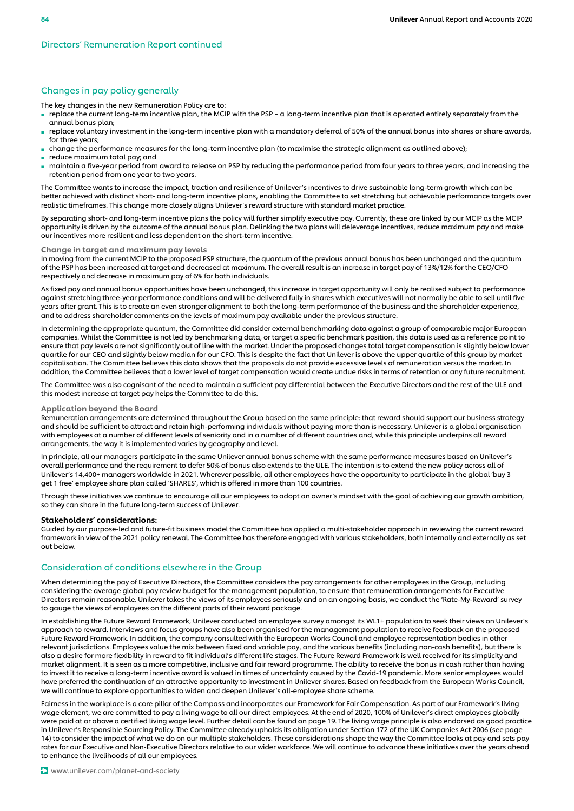## Changes in pay policy generally

The key changes in the new Remuneration Policy are to:

- replace the current long-term incentive plan, the MCIP with the PSP a long-term incentive plan that is operated entirely separately from the annual bonus plan;
- replace voluntary investment in the long-term incentive plan with a mandatory deferral of 50% of the annual bonus into shares or share awards, for three years;
- change the performance measures for the long-term incentive plan (to maximise the strategic alignment as outlined above);
- reduce maximum total pay; and
- maintain a five-year period from award to release on PSP by reducing the performance period from four years to three years, and increasing the retention period from one year to two years.

The Committee wants to increase the impact, traction and resilience of Unilever's incentives to drive sustainable long-term growth which can be better achieved with distinct short- and long-term incentive plans, enabling the Committee to set stretching but achievable performance targets over realistic timeframes. This change more closely aligns Unilever's reward structure with standard market practice.

By separating short- and long-term incentive plans the policy will further simplify executive pay. Currently, these are linked by our MCIP as the MCIP opportunity is driven by the outcome of the annual bonus plan. Delinking the two plans will deleverage incentives, reduce maximum pay and make our incentives more resilient and less dependent on the short-term incentive.

#### Change in target and maximum pay levels

In moving from the current MCIP to the proposed PSP structure, the quantum of the previous annual bonus has been unchanged and the quantum of the PSP has been increased at target and decreased at maximum. The overall result is an increase in target pay of 13%/12% for the CEO/CFO respectively and decrease in maximum pay of 6% for both individuals.

As fixed pay and annual bonus opportunities have been unchanged, this increase in target opportunity will only be realised subject to performance against stretching three-year performance conditions and will be delivered fully in shares which executives will not normally be able to sell until five years after grant. This is to create an even stronger alignment to both the long-term performance of the business and the shareholder experience, and to address shareholder comments on the levels of maximum pay available under the previous structure.

In determining the appropriate quantum, the Committee did consider external benchmarking data against a group of comparable major European companies. Whilst the Committee is not led by benchmarking data, or target a specific benchmark position, this data is used as a reference point to ensure that pay levels are not significantly out of line with the market. Under the proposed changes total target compensation is slightly below lower quartile for our CEO and slightly below median for our CFO. This is despite the fact that Unilever is above the upper quartile of this group by market capitalisation. The Committee believes this data shows that the proposals do not provide excessive levels of remuneration versus the market. In addition, the Committee believes that a lower level of target compensation would create undue risks in terms of retention or any future recruitment.

The Committee was also cognisant of the need to maintain a sufficient pay differential between the Executive Directors and the rest of the ULE and this modest increase at target pay helps the Committee to do this.

#### Application beyond the Board

Remuneration arrangements are determined throughout the Group based on the same principle: that reward should support our business strategy and should be sufficient to attract and retain high-performing individuals without paying more than is necessary. Unilever is a global organisation with employees at a number of different levels of seniority and in a number of different countries and, while this principle underpins all reward arrangements, the way it is implemented varies by geography and level.

In principle, all our managers participate in the same Unilever annual bonus scheme with the same performance measures based on Unilever's overall performance and the requirement to defer 50% of bonus also extends to the ULE. The intention is to extend the new policy across all of Unilever's 14,400+ managers worldwide in 2021. Wherever possible, all other employees have the opportunity to participate in the global 'buy 3 get 1 free' employee share plan called 'SHARES', which is offered in more than 100 countries.

Through these initiatives we continue to encourage all our employees to adopt an owner's mindset with the goal of achieving our growth ambition, so they can share in the future long-term success of Unilever.

#### Stakeholders' considerations:

Guided by our purpose-led and future-fit business model the Committee has applied a multi-stakeholder approach in reviewing the current reward framework in view of the 2021 policy renewal. The Committee has therefore engaged with various stakeholders, both internally and externally as set out below.

#### Consideration of conditions elsewhere in the Group

When determining the pay of Executive Directors, the Committee considers the pay arrangements for other employees in the Group, including considering the average global pay review budget for the management population, to ensure that remuneration arrangements for Executive Directors remain reasonable. Unilever takes the views of its employees seriously and on an ongoing basis, we conduct the 'Rate-My-Reward' survey to gauge the views of employees on the different parts of their reward package.

In establishing the Future Reward Framework, Unilever conducted an employee survey amongst its WL1+ population to seek their views on Unilever's approach to reward. Interviews and focus groups have also been organised for the management population to receive feedback on the proposed Future Reward Framework. In addition, the company consulted with the European Works Council and employee representation bodies in other relevant jurisdictions. Employees value the mix between fixed and variable pay, and the various benefits (including non-cash benefits), but there is also a desire for more flexibility in reward to fit individual's different life stages. The Future Reward Framework is well received for its simplicity and market alignment. It is seen as a more competitive, inclusive and fair reward programme. The ability to receive the bonus in cash rather than having to invest it to receive a long-term incentive award is valued in times of uncertainty caused by the Covid-19 pandemic. More senior employees would have preferred the continuation of an attractive opportunity to investment in Unilever shares. Based on feedback from the European Works Council, we will continue to explore opportunities to widen and deepen Unilever's all-employee share scheme.

Fairness in the workplace is a core pillar of the Compass and incorporates our Framework for Fair Compensation. As part of our Framework's living wage element, we are committed to pay a living wage to all our direct employees. At the end of 2020, 100% of Unilever's direct employees globally were paid at or above a certified living wage level. Further detail can be found on page 19. The living wage principle is also endorsed as good practice in Unilever's Responsible Sourcing Policy. The Committee already upholds its obligation under Section 172 of the UK Companies Act 2006 (see page 14) to consider the impact of what we do on our multiple stakeholders. These considerations shape the way the Committee looks at pay and sets pay rates for our Executive and Non-Executive Directors relative to our wider workforce. We will continue to advance these initiatives over the years ahead to enhance the livelihoods of all our employees.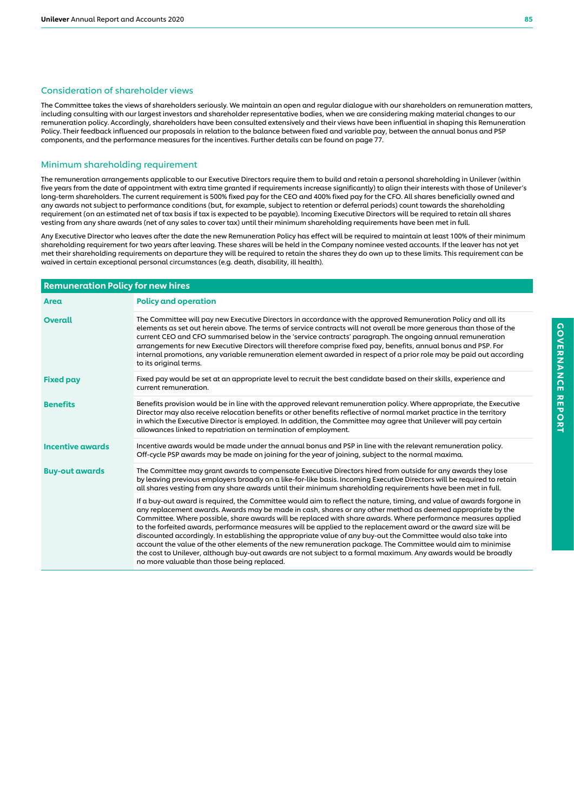#### Consideration of shareholder views

The Committee takes the views of shareholders seriously. We maintain an open and regular dialogue with our shareholders on remuneration matters, including consulting with our largest investors and shareholder representative bodies, when we are considering making material changes to our remuneration policy. Accordingly, shareholders have been consulted extensively and their views have been influential in shaping this Remuneration Policy. Their feedback influenced our proposals in relation to the balance between fixed and variable pay, between the annual bonus and PSP components, and the performance measures for the incentives. Further details can be found on page 77.

## Minimum shareholding requirement

The remuneration arrangements applicable to our Executive Directors require them to build and retain a personal shareholding in Unilever (within five years from the date of appointment with extra time granted if requirements increase significantly) to align their interests with those of Unilever's long-term shareholders. The current requirement is 500% fixed pay for the CEO and 400% fixed pay for the CFO. All shares beneficially owned and any awards not subject to performance conditions (but, for example, subject to retention or deferral periods) count towards the shareholding requirement (on an estimated net of tax basis if tax is expected to be payable). Incoming Executive Directors will be required to retain all shares vesting from any share awards (net of any sales to cover tax) until their minimum shareholding requirements have been met in full.

Any Executive Director who leaves after the date the new Remuneration Policy has effect will be required to maintain at least 100% of their minimum shareholding requirement for two years after leaving. These shares will be held in the Company nominee vested accounts. If the leaver has not yet met their shareholding requirements on departure they will be required to retain the shares they do own up to these limits. This requirement can be waived in certain exceptional personal circumstances (e.g. death, disability, ill health).

| <b>Remuneration Policy for new hires</b> |                                                                                                                                                                                                                                                                                                                                                                                                                                                                                                                                                                                                                                                                                                                                                                                                                                                                                |
|------------------------------------------|--------------------------------------------------------------------------------------------------------------------------------------------------------------------------------------------------------------------------------------------------------------------------------------------------------------------------------------------------------------------------------------------------------------------------------------------------------------------------------------------------------------------------------------------------------------------------------------------------------------------------------------------------------------------------------------------------------------------------------------------------------------------------------------------------------------------------------------------------------------------------------|
| Area                                     | <b>Policy and operation</b>                                                                                                                                                                                                                                                                                                                                                                                                                                                                                                                                                                                                                                                                                                                                                                                                                                                    |
| <b>Overall</b>                           | The Committee will pay new Executive Directors in accordance with the approved Remuneration Policy and all its<br>elements as set out herein above. The terms of service contracts will not overall be more generous than those of the<br>current CEO and CFO summarised below in the 'service contracts' paragraph. The ongoing annual remuneration<br>arrangements for new Executive Directors will therefore comprise fixed pay, benefits, annual bonus and PSP. For<br>internal promotions, any variable remuneration element awarded in respect of a prior role may be paid out according<br>to its original terms.                                                                                                                                                                                                                                                       |
| <b>Fixed pay</b>                         | Fixed pay would be set at an appropriate level to recruit the best candidate based on their skills, experience and<br>current remuneration.                                                                                                                                                                                                                                                                                                                                                                                                                                                                                                                                                                                                                                                                                                                                    |
| <b>Benefits</b>                          | Benefits provision would be in line with the approved relevant remuneration policy. Where appropriate, the Executive<br>Director may also receive relocation benefits or other benefits reflective of normal market practice in the territory<br>in which the Executive Director is employed. In addition, the Committee may agree that Unilever will pay certain<br>allowances linked to repatriation on termination of employment.                                                                                                                                                                                                                                                                                                                                                                                                                                           |
| <b>Incentive awards</b>                  | Incentive awards would be made under the annual bonus and PSP in line with the relevant remuneration policy.<br>Off-cycle PSP awards may be made on joining for the year of joining, subject to the normal maxima.                                                                                                                                                                                                                                                                                                                                                                                                                                                                                                                                                                                                                                                             |
| <b>Buy-out awards</b>                    | The Committee may grant awards to compensate Executive Directors hired from outside for any awards they lose<br>by leaving previous employers broadly on a like-for-like basis. Incoming Executive Directors will be required to retain<br>all shares vesting from any share awards until their minimum shareholding requirements have been met in full.                                                                                                                                                                                                                                                                                                                                                                                                                                                                                                                       |
|                                          | If a buy-out award is required, the Committee would aim to reflect the nature, timing, and value of awards forgone in<br>any replacement awards. Awards may be made in cash, shares or any other method as deemed appropriate by the<br>Committee. Where possible, share awards will be replaced with share awards. Where performance measures applied<br>to the forfeited awards, performance measures will be applied to the replacement award or the award size will be<br>discounted accordingly. In establishing the appropriate value of any buy-out the Committee would also take into<br>account the value of the other elements of the new remuneration package. The Committee would aim to minimise<br>the cost to Unilever, although buy-out awards are not subject to a formal maximum. Any awards would be broadly<br>no more valuable than those being replaced. |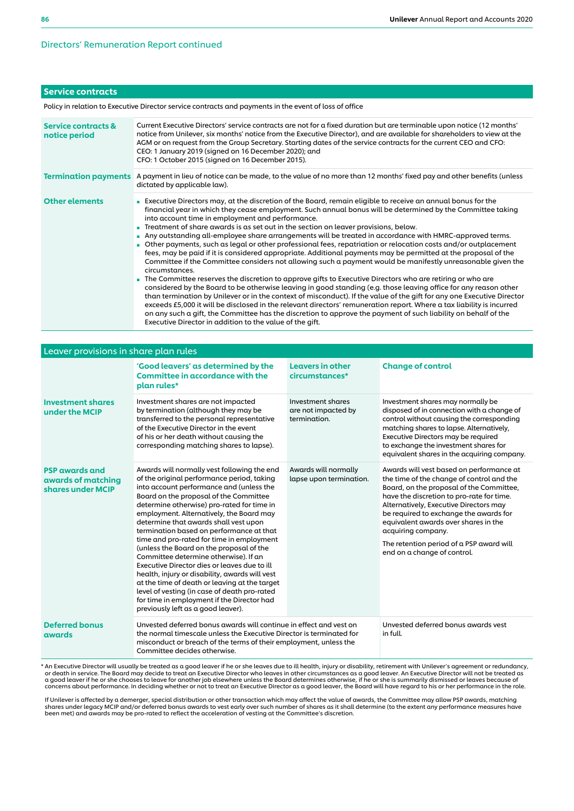## Directors' Remuneration Report continued

## Service contracts

Policy in relation to Executive Director service contracts and payments in the event of loss of office

| Service contracts &<br>notice period | Current Executive Directors' service contracts are not for a fixed duration but are terminable upon notice (12 months'<br>notice from Unilever, six months' notice from the Executive Director), and are available for shareholders to view at the<br>AGM or on request from the Group Secretary. Starting dates of the service contracts for the current CEO and CFO:<br>CEO: 1 January 2019 (signed on 16 December 2020); and<br>CFO: 1 October 2015 (signed on 16 December 2015).                                                                                                                                                                                                                                                                                                                                                                                                                                                                                                                                                                                                                                                                                                                                                                                                                                                                                                                                                                                                                                      |
|--------------------------------------|---------------------------------------------------------------------------------------------------------------------------------------------------------------------------------------------------------------------------------------------------------------------------------------------------------------------------------------------------------------------------------------------------------------------------------------------------------------------------------------------------------------------------------------------------------------------------------------------------------------------------------------------------------------------------------------------------------------------------------------------------------------------------------------------------------------------------------------------------------------------------------------------------------------------------------------------------------------------------------------------------------------------------------------------------------------------------------------------------------------------------------------------------------------------------------------------------------------------------------------------------------------------------------------------------------------------------------------------------------------------------------------------------------------------------------------------------------------------------------------------------------------------------|
| <b>Termination payments</b>          | A payment in lieu of notice can be made, to the value of no more than 12 months' fixed pay and other benefits (unless<br>dictated by applicable law).                                                                                                                                                                                                                                                                                                                                                                                                                                                                                                                                                                                                                                                                                                                                                                                                                                                                                                                                                                                                                                                                                                                                                                                                                                                                                                                                                                     |
| <b>Other elements</b>                | Executive Directors may, at the discretion of the Board, remain eligible to receive an annual bonus for the<br>financial year in which they cease employment. Such annual bonus will be determined by the Committee taking<br>into account time in employment and performance.<br>Treatment of share awards is as set out in the section on leaver provisions, below.<br>Any outstanding all-employee share arrangements will be treated in accordance with HMRC-approved terms.<br>• Other payments, such as legal or other professional fees, repatriation or relocation costs and/or outplacement<br>fees, may be paid if it is considered appropriate. Additional payments may be permitted at the proposal of the<br>Committee if the Committee considers not allowing such a payment would be manifestly unreasonable given the<br>circumstances.<br>The Committee reserves the discretion to approve gifts to Executive Directors who are retiring or who are<br>considered by the Board to be otherwise leaving in good standing (e.g. those leaving office for any reason other<br>than termination by Unilever or in the context of misconduct). If the value of the gift for any one Executive Director<br>exceeds £5,000 it will be disclosed in the relevant directors' remuneration report. Where a tax liability is incurred<br>on any such a gift, the Committee has the discretion to approve the payment of such liability on behalf of the<br>Executive Director in addition to the value of the gift. |

| Leaver provisions in share plan rules                            |                                                                                                                                                                                                                                                                                                                                                                                                                                                                                                                                                                                                                                                                                                                                                                                         |                                                          |                                                                                                                                                                                                                                                                                                                                                                                                             |  |  |
|------------------------------------------------------------------|-----------------------------------------------------------------------------------------------------------------------------------------------------------------------------------------------------------------------------------------------------------------------------------------------------------------------------------------------------------------------------------------------------------------------------------------------------------------------------------------------------------------------------------------------------------------------------------------------------------------------------------------------------------------------------------------------------------------------------------------------------------------------------------------|----------------------------------------------------------|-------------------------------------------------------------------------------------------------------------------------------------------------------------------------------------------------------------------------------------------------------------------------------------------------------------------------------------------------------------------------------------------------------------|--|--|
|                                                                  | 'Good leavers' as determined by the<br><b>Committee in accordance with the</b><br>plan rules*                                                                                                                                                                                                                                                                                                                                                                                                                                                                                                                                                                                                                                                                                           | <b>Leavers in other</b><br>circumstances*                | <b>Change of control</b>                                                                                                                                                                                                                                                                                                                                                                                    |  |  |
| <b>Investment shares</b><br>under the MCIP                       | Investment shares are not impacted<br>by termination (although they may be<br>transferred to the personal representative<br>of the Executive Director in the event<br>of his or her death without causing the<br>corresponding matching shares to lapse).                                                                                                                                                                                                                                                                                                                                                                                                                                                                                                                               | Investment shares<br>are not impacted by<br>termination. | Investment shares may normally be<br>disposed of in connection with a change of<br>control without causing the corresponding<br>matching shares to lapse. Alternatively,<br>Executive Directors may be required<br>to exchange the investment shares for<br>equivalent shares in the acquiring company.                                                                                                     |  |  |
| <b>PSP awards and</b><br>awards of matching<br>shares under MCIP | Awards will normally vest following the end<br>of the original performance period, taking<br>into account performance and (unless the<br>Board on the proposal of the Committee<br>determine otherwise) pro-rated for time in<br>employment. Alternatively, the Board may<br>determine that awards shall vest upon<br>termination based on performance at that<br>time and pro-rated for time in employment<br>(unless the Board on the proposal of the<br>Committee determine otherwise). If an<br>Executive Director dies or leaves due to ill<br>health, injury or disability, awards will vest<br>at the time of death or leaving at the target<br>level of vesting (in case of death pro-rated<br>for time in employment if the Director had<br>previously left as a good leaver). | Awards will normally<br>lapse upon termination.          | Awards will vest based on performance at<br>the time of the change of control and the<br>Board, on the proposal of the Committee,<br>have the discretion to pro-rate for time.<br>Alternatively, Executive Directors may<br>be required to exchange the awards for<br>equivalent awards over shares in the<br>acquiring company.<br>The retention period of a PSP award will<br>end on a change of control. |  |  |
| <b>Deferred bonus</b><br>awards                                  | Unvested deferred bonus awards will continue in effect and vest on<br>the normal timescale unless the Executive Director is terminated for<br>misconduct or breach of the terms of their employment, unless the<br>Committee decides otherwise.                                                                                                                                                                                                                                                                                                                                                                                                                                                                                                                                         |                                                          | Unvested deferred bonus awards vest<br>in full.                                                                                                                                                                                                                                                                                                                                                             |  |  |

\* An Executive Director will usually be treated as a good leaver if he or she leaves due to ill health, injury or disability, retirement with Unilever's agreement or redundancy,<br>or death in service. The Board may decide to concerns about performance. In deciding whether or not to treat an Executive Director as a good leaver, the Board will have regard to his or her performance in the role.

If Unilever is affected by a demerger, special distribution or other transaction which may affect the value of awards, the Committee may allow PSP awards, matching shares under legacy MCIP and/or deferred bonus awards to vest early over such number of shares as it shall determine (to the extent any performance measures have<br>been met) and awards may be pro-rated to reflect the acceler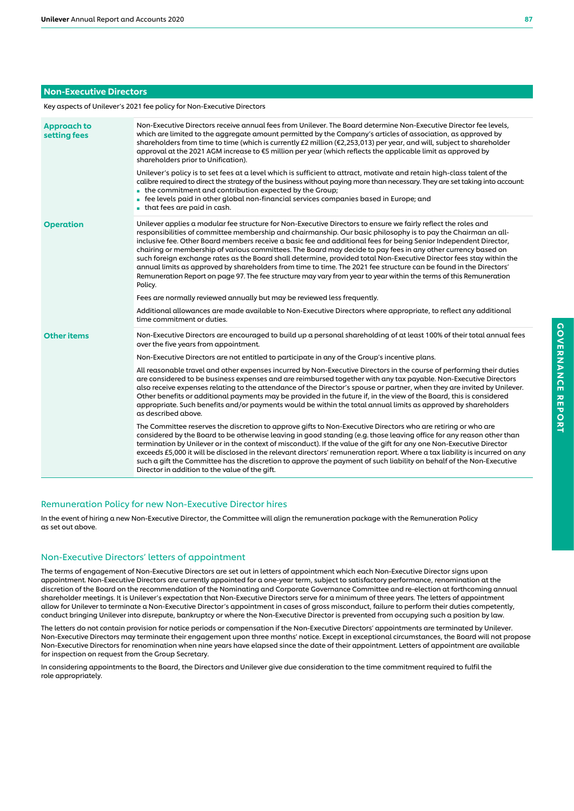## Non-Executive Directors

Key aspects of Unilever's 2021 fee policy for Non-Executive Directors

| Approach to<br>setting fees | Non-Executive Directors receive annual fees from Unilever. The Board determine Non-Executive Director fee levels,<br>which are limited to the aggregate amount permitted by the Company's articles of association, as approved by<br>shareholders from time to time (which is currently £2 million (€2,253,013) per year, and will, subject to shareholder<br>approval at the 2021 AGM increase to €5 million per year (which reflects the applicable limit as approved by<br>shareholders prior to Unification).<br>Unilever's policy is to set fees at a level which is sufficient to attract, motivate and retain high-class talent of the<br>calibre required to direct the strategy of the business without paying more than necessary. They are set taking into account:<br>$\blacksquare$ the commitment and contribution expected by the Group;<br>• fee levels paid in other global non-financial services companies based in Europe; and<br>$\blacksquare$ that fees are paid in cash. |
|-----------------------------|--------------------------------------------------------------------------------------------------------------------------------------------------------------------------------------------------------------------------------------------------------------------------------------------------------------------------------------------------------------------------------------------------------------------------------------------------------------------------------------------------------------------------------------------------------------------------------------------------------------------------------------------------------------------------------------------------------------------------------------------------------------------------------------------------------------------------------------------------------------------------------------------------------------------------------------------------------------------------------------------------|
| <b>Operation</b>            | Unilever applies a modular fee structure for Non-Executive Directors to ensure we fairly reflect the roles and<br>responsibilities of committee membership and chairmanship. Our basic philosophy is to pay the Chairman an all-<br>inclusive fee. Other Board members receive a basic fee and additional fees for being Senior Independent Director,<br>chairing or membership of various committees. The Board may decide to pay fees in any other currency based on<br>such foreign exchange rates as the Board shall determine, provided total Non-Executive Director fees stay within the<br>annual limits as approved by shareholders from time to time. The 2021 fee structure can be found in the Directors'<br>Remuneration Report on page 97. The fee structure may vary from year to year within the terms of this Remuneration<br>Policy.                                                                                                                                            |
|                             | Fees are normally reviewed annually but may be reviewed less frequently.                                                                                                                                                                                                                                                                                                                                                                                                                                                                                                                                                                                                                                                                                                                                                                                                                                                                                                                         |
|                             | Additional allowances are made available to Non-Executive Directors where appropriate, to reflect any additional<br>time commitment or duties.                                                                                                                                                                                                                                                                                                                                                                                                                                                                                                                                                                                                                                                                                                                                                                                                                                                   |
| <b>Other items</b>          | Non-Executive Directors are encouraged to build up a personal shareholding of at least 100% of their total annual fees<br>over the five years from appointment.                                                                                                                                                                                                                                                                                                                                                                                                                                                                                                                                                                                                                                                                                                                                                                                                                                  |
|                             | Non-Executive Directors are not entitled to participate in any of the Group's incentive plans.                                                                                                                                                                                                                                                                                                                                                                                                                                                                                                                                                                                                                                                                                                                                                                                                                                                                                                   |
|                             | All reasonable travel and other expenses incurred by Non-Executive Directors in the course of performing their duties<br>are considered to be business expenses and are reimbursed together with any tax payable. Non-Executive Directors<br>also receive expenses relating to the attendance of the Director's spouse or partner, when they are invited by Unilever.<br>Other benefits or additional payments may be provided in the future if, in the view of the Board, this is considered<br>appropriate. Such benefits and/or payments would be within the total annual limits as approved by shareholders<br>as described above.                                                                                                                                                                                                                                                                                                                                                           |
|                             | The Committee reserves the discretion to approve gifts to Non-Executive Directors who are retiring or who are<br>considered by the Board to be otherwise leaving in good standing (e.g. those leaving office for any reason other than<br>termination by Unilever or in the context of misconduct). If the value of the gift for any one Non-Executive Director<br>exceeds £5,000 it will be disclosed in the relevant directors' remuneration report. Where a tax liability is incurred on any<br>such a gift the Committee has the discretion to approve the payment of such liability on behalf of the Non-Executive<br>Director in addition to the value of the gift.                                                                                                                                                                                                                                                                                                                        |

## Remuneration Policy for new Non-Executive Director hires

In the event of hiring a new Non-Executive Director, the Committee will align the remuneration package with the Remuneration Policy as set out above.

## Non-Executive Directors' letters of appointment

The terms of engagement of Non-Executive Directors are set out in letters of appointment which each Non-Executive Director signs upon appointment. Non-Executive Directors are currently appointed for a one-year term, subject to satisfactory performance, renomination at the discretion of the Board on the recommendation of the Nominating and Corporate Governance Committee and re-election at forthcoming annual shareholder meetings. It is Unilever's expectation that Non-Executive Directors serve for a minimum of three years. The letters of appointment allow for Unilever to terminate a Non-Executive Director's appointment in cases of gross misconduct, failure to perform their duties competently, conduct bringing Unilever into disrepute, bankruptcy or where the Non-Executive Director is prevented from occupying such a position by law.

The letters do not contain provision for notice periods or compensation if the Non-Executive Directors' appointments are terminated by Unilever. Non-Executive Directors may terminate their engagement upon three months' notice. Except in exceptional circumstances, the Board will not propose Non-Executive Directors for renomination when nine years have elapsed since the date of their appointment. Letters of appointment are available for inspection on request from the Group Secretary.

In considering appointments to the Board, the Directors and Unilever give due consideration to the time commitment required to fulfil the role appropriately.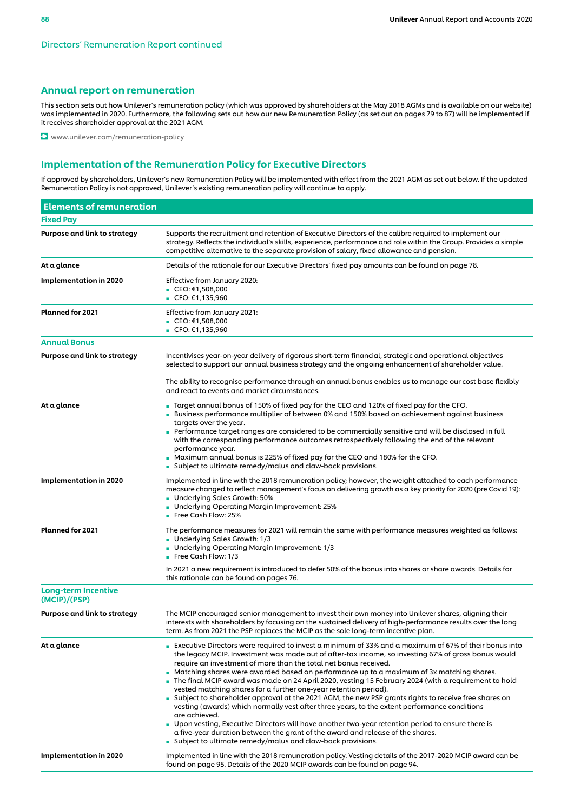## Annual report on remuneration

This section sets out how Unilever's remuneration policy (which was approved by shareholders at the May 2018 AGMs and is available on our website) was implemented in 2020. Furthermore, the following sets out how our new Remuneration Policy (as set out on pages 79 to 87) will be implemented if it receives shareholder approval at the 2021 AGM.

**D** www.unilever.com/remuneration-policy

## Implementation of the Remuneration Policy for Executive Directors

If approved by shareholders, Unilever's new Remuneration Policy will be implemented with effect from the 2021 AGM as set out below. If the updated Remuneration Policy is not approved, Unilever's existing remuneration policy will continue to apply.

| <b>Elements of remuneration</b>            |                                                                                                                                                                                                                                                                                                                                                                                                                                                                                                                                                                                                                                                                                                                                                                                                                                                                                                                                                                                                                                               |
|--------------------------------------------|-----------------------------------------------------------------------------------------------------------------------------------------------------------------------------------------------------------------------------------------------------------------------------------------------------------------------------------------------------------------------------------------------------------------------------------------------------------------------------------------------------------------------------------------------------------------------------------------------------------------------------------------------------------------------------------------------------------------------------------------------------------------------------------------------------------------------------------------------------------------------------------------------------------------------------------------------------------------------------------------------------------------------------------------------|
| <b>Fixed Pay</b>                           |                                                                                                                                                                                                                                                                                                                                                                                                                                                                                                                                                                                                                                                                                                                                                                                                                                                                                                                                                                                                                                               |
| Purpose and link to strategy               | Supports the recruitment and retention of Executive Directors of the calibre required to implement our<br>strategy. Reflects the individual's skills, experience, performance and role within the Group. Provides a simple<br>competitive alternative to the separate provision of salary, fixed allowance and pension.                                                                                                                                                                                                                                                                                                                                                                                                                                                                                                                                                                                                                                                                                                                       |
| At a glance                                | Details of the rationale for our Executive Directors' fixed pay amounts can be found on page 78.                                                                                                                                                                                                                                                                                                                                                                                                                                                                                                                                                                                                                                                                                                                                                                                                                                                                                                                                              |
| <b>Implementation in 2020</b>              | Effective from January 2020:<br>■ CEO: $€1,508,000$<br>■ CFO: $€1,135,960$                                                                                                                                                                                                                                                                                                                                                                                                                                                                                                                                                                                                                                                                                                                                                                                                                                                                                                                                                                    |
| <b>Planned for 2021</b>                    | Effective from January 2021:<br>■ CEO: $€1,508,000$<br>■ CFO: $€1,135,960$                                                                                                                                                                                                                                                                                                                                                                                                                                                                                                                                                                                                                                                                                                                                                                                                                                                                                                                                                                    |
| <b>Annual Bonus</b>                        |                                                                                                                                                                                                                                                                                                                                                                                                                                                                                                                                                                                                                                                                                                                                                                                                                                                                                                                                                                                                                                               |
| Purpose and link to strategy               | Incentivises year-on-year delivery of rigorous short-term financial, strategic and operational objectives<br>selected to support our annual business strategy and the ongoing enhancement of shareholder value.                                                                                                                                                                                                                                                                                                                                                                                                                                                                                                                                                                                                                                                                                                                                                                                                                               |
|                                            | The ability to recognise performance through an annual bonus enables us to manage our cost base flexibly<br>and react to events and market circumstances.                                                                                                                                                                                                                                                                                                                                                                                                                                                                                                                                                                                                                                                                                                                                                                                                                                                                                     |
| At a glance                                | ■ Target annual bonus of 150% of fixed pay for the CEO and 120% of fixed pay for the CFO.<br>Business performance multiplier of between 0% and 150% based on achievement against business<br>targets over the year.<br>Performance target ranges are considered to be commercially sensitive and will be disclosed in full<br>with the corresponding performance outcomes retrospectively following the end of the relevant<br>performance year.<br>■ Maximum annual bonus is 225% of fixed pay for the CEO and 180% for the CFO.<br>■ Subject to ultimate remedy/malus and claw-back provisions.                                                                                                                                                                                                                                                                                                                                                                                                                                             |
| <b>Implementation in 2020</b>              | Implemented in line with the 2018 remuneration policy; however, the weight attached to each performance<br>measure changed to reflect management's focus on delivering growth as a key priority for 2020 (pre Covid 19):<br>Underlying Sales Growth: 50%<br>Underlying Operating Margin Improvement: 25%<br><b>Free Cash Flow: 25%</b>                                                                                                                                                                                                                                                                                                                                                                                                                                                                                                                                                                                                                                                                                                        |
| <b>Planned for 2021</b>                    | The performance measures for 2021 will remain the same with performance measures weighted as follows:<br>Underlying Sales Growth: 1/3<br>Underlying Operating Margin Improvement: 1/3<br><b>Free Cash Flow: 1/3</b>                                                                                                                                                                                                                                                                                                                                                                                                                                                                                                                                                                                                                                                                                                                                                                                                                           |
|                                            | In 2021 a new requirement is introduced to defer 50% of the bonus into shares or share awards. Details for<br>this rationale can be found on pages 76.                                                                                                                                                                                                                                                                                                                                                                                                                                                                                                                                                                                                                                                                                                                                                                                                                                                                                        |
| <b>Long-term Incentive</b><br>(MCIP)/(PSP) |                                                                                                                                                                                                                                                                                                                                                                                                                                                                                                                                                                                                                                                                                                                                                                                                                                                                                                                                                                                                                                               |
| Purpose and link to strategy               | The MCIP encouraged senior management to invest their own money into Unilever shares, aligning their<br>interests with shareholders by focusing on the sustained delivery of high-performance results over the long<br>term. As from 2021 the PSP replaces the MCIP as the sole long-term incentive plan.                                                                                                                                                                                                                                                                                                                                                                                                                                                                                                                                                                                                                                                                                                                                     |
| At a glance                                | Executive Directors were required to invest a minimum of 33% and a maximum of 67% of their bonus into<br>the legacy MCIP. Investment was made out of after-tax income, so investing 67% of gross bonus would<br>require an investment of more than the total net bonus received.<br>■ Matching shares were awarded based on performance up to a maximum of 3x matching shares.<br>The final MCIP award was made on 24 April 2020, vesting 15 February 2024 (with a requirement to hold<br>vested matching shares for a further one-year retention period).<br>■ Subject to shareholder approval at the 2021 AGM, the new PSP grants rights to receive free shares on<br>vesting (awards) which normally vest after three years, to the extent performance conditions<br>are achieved.<br>• Upon vesting, Executive Directors will have another two-year retention period to ensure there is<br>a five-year duration between the grant of the award and release of the shares.<br>■ Subject to ultimate remedy/malus and claw-back provisions. |
| <b>Implementation in 2020</b>              | Implemented in line with the 2018 remuneration policy. Vesting details of the 2017-2020 MCIP award can be<br>found on page 95. Details of the 2020 MCIP awards can be found on page 94.                                                                                                                                                                                                                                                                                                                                                                                                                                                                                                                                                                                                                                                                                                                                                                                                                                                       |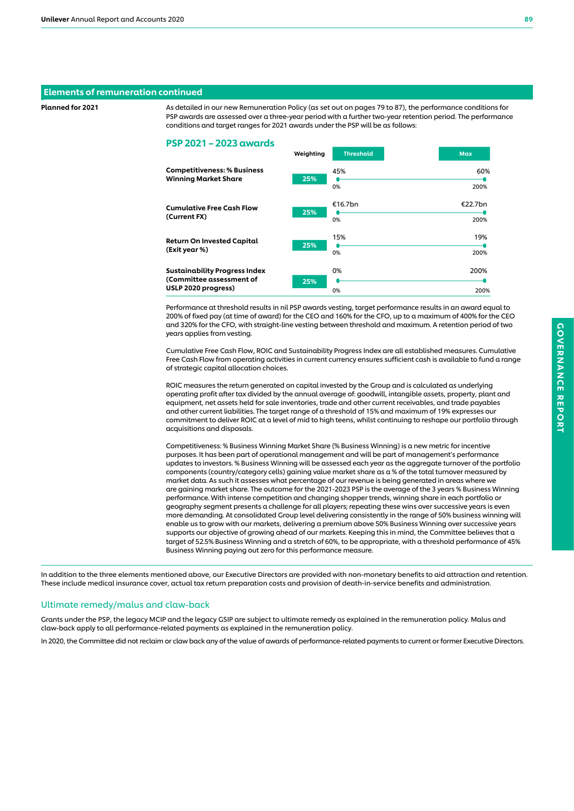## Elements of remuneration continued

Planned for 2021 As detailed in our new Remuneration Policy (as set out on pages 79 to 87), the performance conditions for PSP awards are assessed over a three-year period with a further two-year retention period. The performance conditions and target ranges for 2021 awards under the PSP will be as follows:

#### PSP 2021 – 2023 awards

|                                                                   | weighting | шсэнош    | <b>IVIUA</b> |
|-------------------------------------------------------------------|-----------|-----------|--------------|
| <b>Competitiveness: % Business</b><br><b>Winning Market Share</b> | 25%       | 45%<br>0% | 60%<br>200%  |
| <b>Cumulative Free Cash Flow</b><br>(Current FX)                  | 25%       | €16.7bn   | €22.7bn      |
|                                                                   |           | 0%        | 200%         |
| <b>Return On Invested Capital</b>                                 | 25%       | 15%       | 19%          |
| (Exit year %)                                                     |           | 0%        | 200%         |
| <b>Sustainability Progress Index</b>                              |           | 0%        | 200%         |
| (Committee assessment of                                          | 25%       |           |              |
| USLP 2020 progress)                                               |           | 0%        | 200%         |

 $W_{\text{in}}$  Threshold Max  $\overline{W}$ 

Performance at threshold results in nil PSP awards vesting, target performance results in an award equal to 200% of fixed pay (at time of award) for the CEO and 160% for the CFO, up to a maximum of 400% for the CEO and 320% for the CFO, with straight-line vesting between threshold and maximum. A retention period of two years applies from vesting.

Cumulative Free Cash Flow, ROIC and Sustainability Progress Index are all established measures. Cumulative Free Cash Flow from operating activities in current currency ensures sufficient cash is available to fund a range of strategic capital allocation choices.

ROIC measures the return generated on capital invested by the Group and is calculated as underlying operating profit after tax divided by the annual average of: goodwill, intangible assets, property, plant and equipment, net assets held for sale inventories, trade and other current receivables, and trade payables and other current liabilities. The target range of a threshold of 15% and maximum of 19% expresses our commitment to deliver ROIC at a level of mid to high teens, whilst continuing to reshape our portfolio through acquisitions and disposals.

Competitiveness: % Business Winning Market Share (% Business Winning) is a new metric for incentive purposes. It has been part of operational management and will be part of management's performance updates to investors. % Business Winning will be assessed each year as the aggregate turnover of the portfolio components (country/category cells) gaining value market share as a % of the total turnover measured by market data. As such it assesses what percentage of our revenue is being generated in areas where we are gaining market share. The outcome for the 2021-2023 PSP is the average of the 3 years % Business Winning performance. With intense competition and changing shopper trends, winning share in each portfolio or geography segment presents a challenge for all players; repeating these wins over successive years is even more demanding. At consolidated Group level delivering consistently in the range of 50% business winning will enable us to grow with our markets, delivering a premium above 50% Business Winning over successive years supports our objective of growing ahead of our markets. Keeping this in mind, the Committee believes that a target of 52.5% Business Winning and a stretch of 60%, to be appropriate, with a threshold performance of 45% Business Winning paying out zero for this performance measure.

In addition to the three elements mentioned above, our Executive Directors are provided with non-monetary benefits to aid attraction and retention. These include medical insurance cover, actual tax return preparation costs and provision of death-in-service benefits and administration.

## Ultimate remedy/malus and claw-back

Grants under the PSP, the legacy MCIP and the legacy GSIP are subject to ultimate remedy as explained in the remuneration policy. Malus and claw-back apply to all performance-related payments as explained in the remuneration policy.

In 2020, the Committee did not reclaim or claw back any of the value of awards of performance-related payments to current or former Executive Directors.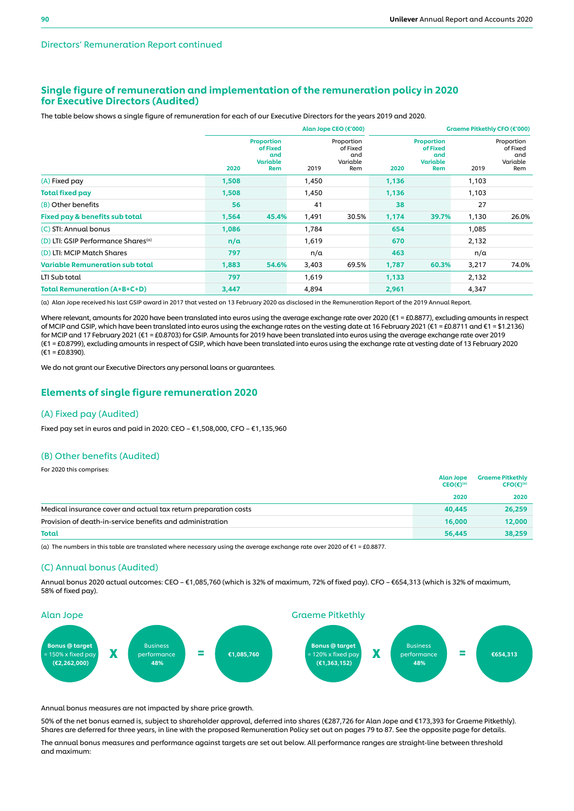## Single figure of remuneration and implementation of the remuneration policy in 2020 for Executive Directors (Audited)

The table below shows a single figure of remuneration for each of our Executive Directors for the years 2019 and 2020.

|                                                 | Alan Jope CEO (€'000) |                                                                |       |                                                  | Graeme Pitkethly CFO (€'000) |                                                                |       |                                                  |
|-------------------------------------------------|-----------------------|----------------------------------------------------------------|-------|--------------------------------------------------|------------------------------|----------------------------------------------------------------|-------|--------------------------------------------------|
|                                                 | 2020                  | <b>Proportion</b><br>of Fixed<br>and<br><b>Variable</b><br>Rem | 2019  | Proportion<br>of Fixed<br>and<br>Variable<br>Rem | 2020                         | <b>Proportion</b><br>of Fixed<br>and<br><b>Variable</b><br>Rem | 2019  | Proportion<br>of Fixed<br>and<br>Variable<br>Rem |
| (A) Fixed pay                                   | 1,508                 |                                                                | 1,450 |                                                  | 1,136                        |                                                                | 1,103 |                                                  |
| <b>Total fixed pay</b>                          | 1,508                 |                                                                | 1,450 |                                                  | 1,136                        |                                                                | 1,103 |                                                  |
| (B) Other benefits                              | 56                    |                                                                | 41    |                                                  | 38                           |                                                                | 27    |                                                  |
| Fixed pay & benefits sub total                  | 1,564                 | 45.4%                                                          | 1,491 | 30.5%                                            | 1,174                        | 39.7%                                                          | 1,130 | 26.0%                                            |
| (C) STI: Annual bonus                           | 1,086                 |                                                                | 1,784 |                                                  | 654                          |                                                                | 1,085 |                                                  |
| (D) LTI: GSIP Performance Shares <sup>(a)</sup> | n/a                   |                                                                | 1,619 |                                                  | 670                          |                                                                | 2,132 |                                                  |
| (D) LTI: MCIP Match Shares                      | 797                   |                                                                | n/a   |                                                  | 463                          |                                                                | n/a   |                                                  |
| <b>Variable Remuneration sub total</b>          | 1,883                 | 54.6%                                                          | 3,403 | 69.5%                                            | 1,787                        | 60.3%                                                          | 3,217 | 74.0%                                            |
| LTI Sub total                                   | 797                   |                                                                | 1,619 |                                                  | 1,133                        |                                                                | 2,132 |                                                  |
| <b>Total Remuneration (A+B+C+D)</b>             | 3,447                 |                                                                | 4,894 |                                                  | 2,961                        |                                                                | 4,347 |                                                  |

(a) Alan Jope received his last GSIP award in 2017 that vested on 13 February 2020 as disclosed in the Remuneration Report of the 2019 Annual Report.

Where relevant, amounts for 2020 have been translated into euros using the average exchange rate over 2020 (€1 = £0.8877), excluding amounts in respect of MCIP and GSIP, which have been translated into euros using the exchange rates on the vesting date at 16 February 2021 (€1 = £0.8711 and €1 = \$1.2136) for MCIP and 17 February 2021 (€1 = £0.8703) for GSIP. Amounts for 2019 have been translated into euros using the average exchange rate over 2019 (€1 = £0.8799), excluding amounts in respect of GSIP, which have been translated into euros using the exchange rate at vesting date of 13 February 2020  $(E1 = E0.8390)$ .

We do not grant our Executive Directors any personal loans or guarantees.

## Elements of single figure remuneration 2020

## (A) Fixed pay (Audited)

For 2020 this comprises:

Fixed pay set in euros and paid in 2020: CEO – €1,508,000, CFO – €1,135,960

#### (B) Other benefits (Audited)

|                                                                 | Alan Jope<br>$CEO(f^{(\alpha)}$ | <b>Graeme Pitkethly</b><br>$\mathsf{CFO}(\mathsf{E})^{(a)}$ |
|-----------------------------------------------------------------|---------------------------------|-------------------------------------------------------------|
|                                                                 | 2020                            | 2020                                                        |
| Medical insurance cover and actual tax return preparation costs | 40.445                          | 26,259                                                      |
| Provision of death-in-service benefits and administration       | 16,000                          | 12,000                                                      |
| <b>Total</b>                                                    | 56,445                          | 38,259                                                      |

(a) The numbers in this table are translated where necessary using the average exchange rate over 2020 of  $f = f(0.8877)$ .

## (C) Annual bonus (Audited)

Annual bonus 2020 actual outcomes: CEO – €1,085,760 (which is 32% of maximum, 72% of fixed pay). CFO – €654,313 (which is 32% of maximum, 58% of fixed pay).



Annual bonus measures are not impacted by share price growth.

50% of the net bonus earned is, subject to shareholder approval, deferred into shares (€287,726 for Alan Jope and €173,393 for Graeme Pitkethly). Shares are deferred for three years, in line with the proposed Remuneration Policy set out on pages 79 to 87. See the opposite page for details.

The annual bonus measures and performance against targets are set out below. All performance ranges are straight-line between threshold and maximum: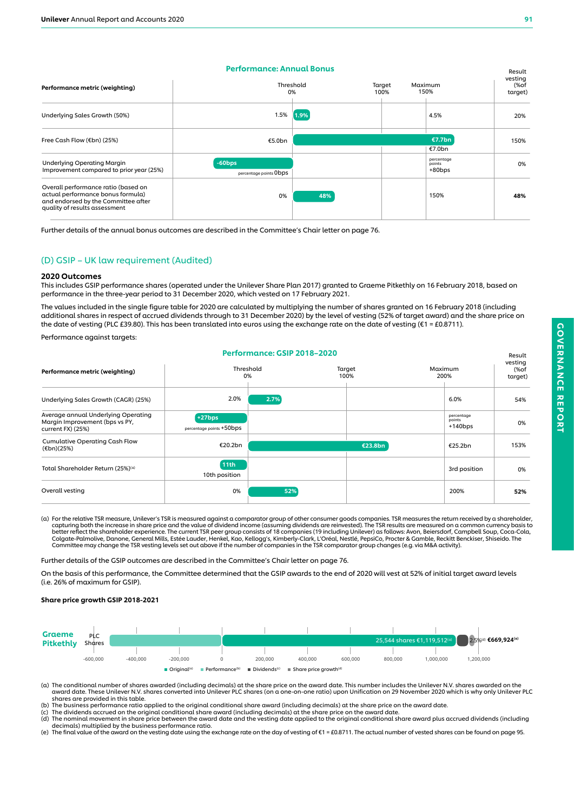#### Performance: Annual Bonus

| Performance metric (weighting)                                                                                                                   | Performance: Annual Bonus<br>Threshold | Maximum | Result<br>vesting<br>(%of |                                   |         |
|--------------------------------------------------------------------------------------------------------------------------------------------------|----------------------------------------|---------|---------------------------|-----------------------------------|---------|
|                                                                                                                                                  |                                        | 0%      | 100%                      | 150%                              | target) |
| Underlying Sales Growth (50%)                                                                                                                    | 1.5%                                   | 1.9%    |                           | 4.5%                              | 20%     |
| Free Cash Flow (€bn) (25%)                                                                                                                       | €5.0bn                                 |         | €7.7bn                    | 150%                              |         |
|                                                                                                                                                  |                                        |         |                           | €7.0bn                            |         |
| <b>Underlying Operating Margin</b><br>Improvement compared to prior year (25%)                                                                   | $-60bps$<br>percentage points Obps     |         |                           | percentage<br>points<br>$+80$ bps | 0%      |
| Overall performance ratio (based on<br>actual performance bonus formula)<br>and endorsed by the Committee after<br>quality of results assessment | 0%                                     | 48%     |                           | 150%                              | 48%     |

Further details of the annual bonus outcomes are described in the Committee's Chair letter on page 76.

## (D) GSIP – UK law requirement (Audited)

#### 2020 Outcomes

This includes GSIP performance shares (operated under the Unilever Share Plan 2017) granted to Graeme Pitkethly on 16 February 2018, based on performance in the three-year period to 31 December 2020, which vested on 17 February 2021.

The values included in the single figure table for 2020 are calculated by multiplying the number of shares granted on 16 February 2018 (including additional shares in respect of accrued dividends through to 31 December 2020) by the level of vesting (52% of target award) and the share price on the date of vesting (PLC £39.80). This has been translated into euros using the exchange rate on the date of vesting (€1 = £0.8711).

Performance: GSIP 2018–2020

Performance against targets:

|                                                                                            |                                      | Performance: GSIF ZUT6-ZUZU |                |                                    | Result<br>vesting |  |
|--------------------------------------------------------------------------------------------|--------------------------------------|-----------------------------|----------------|------------------------------------|-------------------|--|
| Performance metric (weighting)                                                             |                                      | Threshold<br>0%             | Target<br>100% | Maximum<br>200%                    | (%of<br>target)   |  |
| Underlying Sales Growth (CAGR) (25%)                                                       | 2.0%                                 | 2.7%                        |                | 6.0%                               | 54%               |  |
| Average annual Underlying Operating<br>Margin Improvement (bps vs PY,<br>current FX) (25%) | $+27bps$<br>percentage points +50bps |                             |                | percentage<br>points<br>$+140$ bps | 0%                |  |
| <b>Cumulative Operating Cash Flow</b><br>$(\epsilon$ bn)(25%)                              | €20.2bn                              |                             | €23.8bn        | €25.2bn                            | 153%              |  |
| Total Shareholder Return (25%) <sup>(a)</sup>                                              | 11th<br>10th position                |                             |                | 3rd position                       | 0%                |  |
| Overall vesting                                                                            | 0%                                   | 52%                         |                | 200%                               | 52%               |  |

(a) For the relative TSR measure, Unilever's TSR is measured against a comparator group of other consumer goods companies. TSR measures the return received by a shareholder,<br>capturing both the increase in share price and t better reflect the shareholder experience. The current TSR peer group consists of 18 companies (19 including Unilever) as follows: Avon, Beiersdorf, Campbell Soup, Coca-Cola,<br>Colgate-Palmolive, Danone, General Mills, Estée

Further details of the GSIP outcomes are described in the Committee's Chair letter on page 76.

On the basis of this performance, the Committee determined that the GSIP awards to the end of 2020 will vest at 52% of initial target award levels (i.e. 26% of maximum for GSIP).

#### Share price growth GSIP 2018-2021



(a) The conditional number of shares awarded (including decimals) at the share price on the award date. This number includes the Unilever N.V. shares awarded on the avard date. These Unilever N.V. shares converted into Uni shares are provided in this table.

(b) The business performance ratio applied to the original conditional share award (including decimals) at the share price on the award date.<br>(c) The dividends accrued on the original conditional share award (including dec

decimals) multiplied by the business performance ratio.<br>(e) The final value of the award on the vesting date using the exchange rate on the day of vesting of €1 = £0.8711. The actual number of vested shares can be found o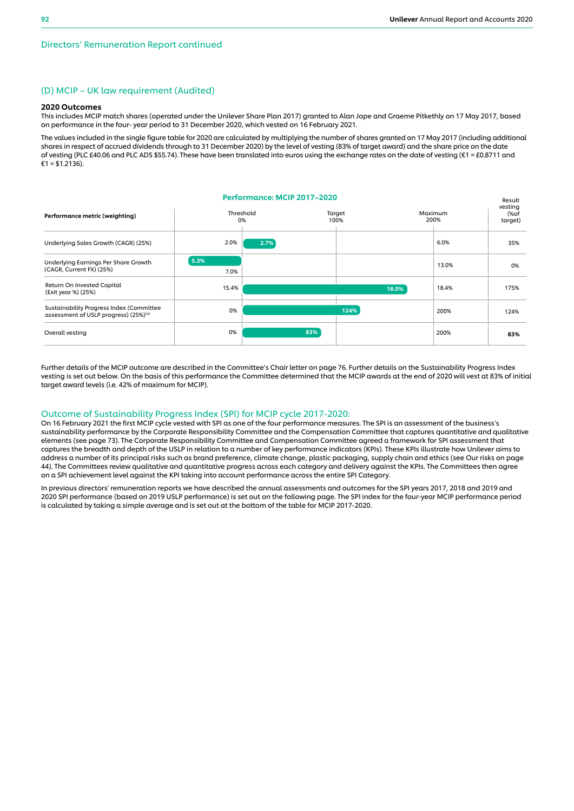#### (D) MCIP – UK law requirement (Audited)

#### 2020 Outcomes

This includes MCIP match shares (operated under the Unilever Share Plan 2017) granted to Alan Jope and Graeme Pitkethly on 17 May 2017, based on performance in the four- year period to 31 December 2020, which vested on 16 February 2021.

The values included in the single figure table for 2020 are calculated by multiplying the number of shares granted on 17 May 2017 (including additional shares in respect of accrued dividends through to 31 December 2020) by the level of vesting (83% of target award) and the share price on the date of vesting (PLC £40.06 and PLC ADS \$55.74). These have been translated into euros using the exchange rates on the date of vesting (€1 = £0.8711 and  $£1 = $1,2136$ ).

#### Performance: MCIP 2017–2020 Threshold 0% **Target**  $100%$ Maximum 200% Result vesting (%of target) Performance metric (weighting) Underlying Sales Growth (CAGR) (25%) Underlying Earnings Per Share Growth (CAGR, Current FX) (25%) Return On Invested Capital (Exit year %) (25%) Sustainability Progress Index (Committee assessment of USLP progress) (25%)<sup>(a)</sup> 6.0% 18.4% 200% 35% 0% 175% 124% 2.7% 5.3% 18.0% 124% Overall vesting 83% 83% 2.0% 15.4% 0% 7.0% 13.0% 0% 200%

Further details of the MCIP outcome are described in the Committee's Chair letter on page 76. Further details on the Sustainability Progress Index vesting is set out below. On the basis of this performance the Committee determined that the MCIP awards at the end of 2020 will vest at 83% of initial target award levels (i.e. 42% of maximum for MCIP).

#### Outcome of Sustainability Progress Index (SPI) for MCIP cycle 2017-2020:

On 16 February 2021 the first MCIP cycle vested with SPI as one of the four performance measures. The SPI is an assessment of the business's sustainability performance by the Corporate Responsibility Committee and the Compensation Committee that captures quantitative and qualitative elements (see page 73). The Corporate Responsibility Committee and Compensation Committee agreed a framework for SPI assessment that captures the breadth and depth of the USLP in relation to a number of key performance indicators (KPIs). These KPIs illustrate how Unilever aims to address a number of its principal risks such as brand preference, climate change, plastic packaging, supply chain and ethics (see Our risks on page 44). The Committees review qualitative and quantitative progress across each category and delivery against the KPIs. The Committees then agree on a SPI achievement level against the KPI taking into account performance across the entire SPI Category.

In previous directors' remuneration reports we have described the annual assessments and outcomes for the SPI years 2017, 2018 and 2019 and 2020 SPI performance (based on 2019 USLP performance) is set out on the following page. The SPI index for the four-year MCIP performance period is calculated by taking a simple average and is set out at the bottom of the table for MCIP 2017-2020.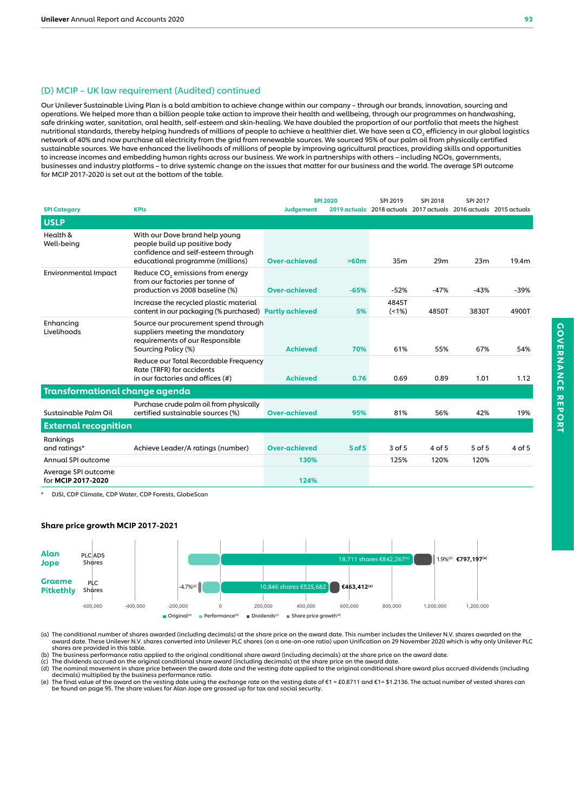## (D) MCIP – UK law requirement (Audited) continued

Our Unilever Sustainable Living Plan is a bold ambition to achieve change within our company – through our brands, innovation, sourcing and operations. We helped more than a billion people take action to improve their health and wellbeing, through our programmes on handwashing, safe drinking water, sanitation, oral health, self-esteem and skin-healing. We have doubled the proportion of our portfolio that meets the highest nutritional standards, thereby helping hundreds of millions of people to achieve a healthier diet. We have seen a CO2 efficiency in our global logistics network of 40% and now purchase all electricity from the grid from renewable sources. We sourced 95% of our palm oil from physically certified sustainable sources. We have enhanced the livelihoods of millions of people by improving agricultural practices, providing skills and opportunities to increase incomes and embedding human rights across our business. We work in partnerships with others – including NGOs, governments, businesses and industry platforms – to drive systemic change on the issues that matter for our business and the world. The average SPI outcome for MCIP 2017-2020 is set out at the bottom of the table.

|                                                                 |                                                                                                                                           |                      | <b>SPI 2020</b> | SPI 2019      | SPI 2018 | SPI 2017                                                         |        |
|-----------------------------------------------------------------|-------------------------------------------------------------------------------------------------------------------------------------------|----------------------|-----------------|---------------|----------|------------------------------------------------------------------|--------|
| <b>SPI Category</b>                                             | <b>KPIs</b>                                                                                                                               | <b>Judgement</b>     |                 |               |          | 2019 actuals 2018 actuals 2017 actuals 2016 actuals 2015 actuals |        |
| <b>USLP</b>                                                     |                                                                                                                                           |                      |                 |               |          |                                                                  |        |
| Health &<br>Well-being                                          | With our Dove brand help young<br>people build up positive body<br>confidence and self-esteem through<br>educational programme (millions) | <b>Over-achieved</b> | >60m            | 35m           | 29m      | 23m                                                              | 19.4m  |
| Environmental Impact                                            | Reduce CO <sub>2</sub> emissions from energy<br>from our factories per tonne of<br>production vs 2008 baseline (%)                        | <b>Over-achieved</b> | $-65%$          | $-52%$        | $-47%$   | $-43%$                                                           | $-39%$ |
|                                                                 | Increase the recycled plastic material<br>content in our packaging (% purchased) Partly achieved                                          |                      | 5%              | 4845T<br>(1%) | 4850T    | 3830T                                                            | 4900T  |
| Enhancing<br>Livelihoods                                        | Source our procurement spend through<br>suppliers meeting the mandatory<br>requirements of our Responsible<br>Sourcing Policy (%)         | <b>Achieved</b>      | 70%             | 61%           | 55%      | 67%                                                              | 54%    |
|                                                                 | Reduce our Total Recordable Frequency<br>Rate (TRFR) for accidents<br>in our factories and offices (#)                                    | <b>Achieved</b>      | 0.76            | 0.69          | 0.89     | 1.01                                                             | 1.12   |
| Transformational change agenda                                  |                                                                                                                                           |                      |                 |               |          |                                                                  |        |
| Sustainable Palm Oil                                            | Purchase crude palm oil from physically<br>certified sustainable sources (%)                                                              | <b>Over-achieved</b> | 95%             | 81%           | 56%      | 42%                                                              | 19%    |
| <b>External recognition</b>                                     |                                                                                                                                           |                      |                 |               |          |                                                                  |        |
| Rankings<br>and ratings*                                        | Achieve Leader/A ratings (number)                                                                                                         | Over-achieved        | $5$ of $5$      | $3$ of $5$    | 4 of 5   | 5 of 5                                                           | 4 of 5 |
| Annual SPI outcome<br>Average SPI outcome<br>for MCIP 2017-2020 |                                                                                                                                           | 130%<br>124%         |                 | 125%          | 120%     | 120%                                                             |        |

\* DJSI, CDP Climate, CDP Water, CDP Forests, GlobeScan

#### Share price growth MCIP 2017-2021



(a) The conditional number of shares awarded (including decimals) at the share price on the award date. This number includes the Unilever N.V. shares awarded on the مaward date. These Unilever N.V. shares converted into Un shares are provided in this table.

(b) The business performance ratio applied to the original conditional share award (including decimals) at the share price on the award date.<br>(c) The dividends accrued on the original conditional share award (including dec

decimals) multiplied by the business performance ratio.<br>(e) The final value of the award on the vesting date using the exchange rate on the vesting date of €1 = £0.8711 and €1= \$1.2136. The actual number of vested shares be found on page 95. The share values for Alan Jope are grossed up for tax and social security.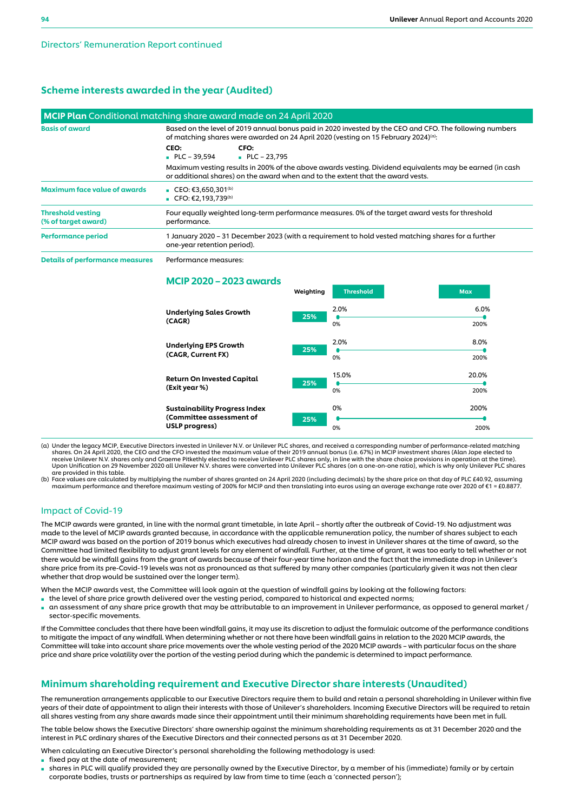## Scheme interests awarded in the year (Audited)

|                                                 | MCIP Plan Conditional matching share award made on 24 April 2020                                                                                                                                           |  |  |  |  |
|-------------------------------------------------|------------------------------------------------------------------------------------------------------------------------------------------------------------------------------------------------------------|--|--|--|--|
| <b>Basis of award</b>                           | Based on the level of 2019 annual bonus paid in 2020 invested by the CEO and CFO. The following numbers<br>of matching shares were awarded on 24 April 2020 (vesting on 15 February 2024) <sup>(a)</sup> : |  |  |  |  |
|                                                 | CEO:<br>CFO:<br>$PLC - 39,594$<br>$PLC - 23,795$                                                                                                                                                           |  |  |  |  |
|                                                 | Maximum vesting results in 200% of the above awards vesting. Dividend equivalents may be earned (in cash<br>or additional shares) on the award when and to the extent that the award vests.                |  |  |  |  |
| <b>Maximum face value of awards</b>             | ■ CEO: €3,650,301 <sup>(b)</sup><br>■ CFO: $£2,193,739^{(b)}$                                                                                                                                              |  |  |  |  |
| <b>Threshold vesting</b><br>(% of target award) | Four equally weighted long-term performance measures. 0% of the target award vests for threshold<br>performance.                                                                                           |  |  |  |  |
| <b>Performance period</b>                       | 1 January 2020 – 31 December 2023 (with a requirement to hold vested matching shares for a further<br>one-year retention period).                                                                          |  |  |  |  |

Details of performance measures Performance measures:

## MCIP 2020 – 2023 awards

| 2.0%<br>25%<br>0%  | 6.0%<br>200%  |
|--------------------|---------------|
| 2.0%<br>25%<br>0%  | 8.0%<br>200%  |
| 15.0%<br>25%<br>0% | 20.0%<br>200% |
| 0%<br>25%          | 200%<br>200%  |
|                    | 0%            |

Weighting Threshold Max

(a) Under the legacy MCIP, Executive Directors invested in Unilever N.V. or Unilever PLC shares, and received a corresponding number of performance-related matching)<br>shares. On 24 April 2020, the CEO and the CFO invested t receive Unilever N.V. shares only and Graeme Pitkethly elected to receive Unilever PLC shares only, in line with the share choice provisions in operation at the time).<br>Upon Unification on 29 November 2020 all Unilever N.V. are provided in this table.

(b) Face values are calculated by multiplying the number of shares granted on 24 April 2020 (including decimals) by the share price on that day of PLC £40.92, assuming<br>…maximum performance and therefore maximum vesting of

## Impact of Covid-19

The MCIP awards were granted, in line with the normal grant timetable, in late April – shortly after the outbreak of Covid-19. No adjustment was made to the level of MCIP awards granted because, in accordance with the applicable remuneration policy, the number of shares subject to each MCIP award was based on the portion of 2019 bonus which executives had already chosen to invest in Unilever shares at the time of award, so the Committee had limited flexibility to adjust grant levels for any element of windfall. Further, at the time of grant, it was too early to tell whether or not there would be windfall gains from the grant of awards because of their four-year time horizon and the fact that the immediate drop in Unilever's share price from its pre-Covid-19 levels was not as pronounced as that suffered by many other companies (particularly given it was not then clear whether that drop would be sustained over the longer term).

When the MCIP awards vest, the Committee will look again at the question of windfall gains by looking at the following factors:

- the level of share price growth delivered over the vesting period, compared to historical and expected norms;
- an assessment of any share price growth that may be attributable to an improvement in Unilever performance, as opposed to general market / sector-specific movements.

If the Committee concludes that there have been windfall gains, it may use its discretion to adjust the formulaic outcome of the performance conditions to mitigate the impact of any windfall. When determining whether or not there have been windfall gains in relation to the 2020 MCIP awards, the Committee will take into account share price movements over the whole vesting period of the 2020 MCIP awards – with particular focus on the share price and share price volatility over the portion of the vesting period during which the pandemic is determined to impact performance.

## Minimum shareholding requirement and Executive Director share interests (Unaudited)

The remuneration arrangements applicable to our Executive Directors require them to build and retain a personal shareholding in Unilever within five years of their date of appointment to align their interests with those of Unilever's shareholders. Incoming Executive Directors will be required to retain all shares vesting from any share awards made since their appointment until their minimum shareholding requirements have been met in full.

The table below shows the Executive Directors' share ownership against the minimum shareholding requirements as at 31 December 2020 and the interest in PLC ordinary shares of the Executive Directors and their connected persons as at 31 December 2020.

When calculating an Executive Director's personal shareholding the following methodology is used:

- fixed pay at the date of measurement;
- shares in PLC will qualify provided they are personally owned by the Executive Director, by a member of his (immediate) family or by certain corporate bodies, trusts or partnerships as required by law from time to time (each a 'connected person');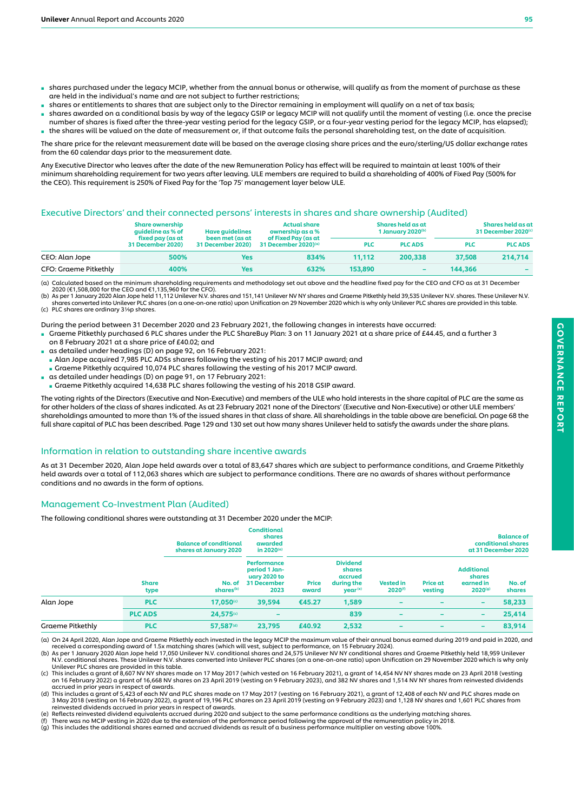- shares purchased under the legacy MCIP, whether from the annual bonus or otherwise, will qualify as from the moment of purchase as these are held in the individual's name and are not subject to further restrictions;
- shares or entitlements to shares that are subject only to the Director remaining in employment will qualify on a net of tax basis;
- shares awarded on a conditional basis by way of the legacy GSIP or legacy MCIP will not qualify until the moment of vesting (i.e. once the precise number of shares is fixed after the three-year vesting period for the legacy GSIP, or a four-year vesting period for the legacy MCIP, has elapsed); the shares will be valued on the date of measurement or, if that outcome fails the personal shareholding test, on the date of acquisition.

The share price for the relevant measurement date will be based on the average closing share prices and the euro/sterling/US dollar exchange rates from the 60 calendar days prior to the measurement date.

Any Executive Director who leaves after the date of the new Remuneration Policy has effect will be required to maintain at least 100% of their minimum shareholding requirement for two years after leaving. ULE members are required to build a shareholding of 400% of Fixed Pay (500% for the CEO). This requirement is 250% of Fixed Pay for the 'Top 75' management layer below ULE.

## Executive Directors' and their connected persons' interests in shares and share ownership (Audited)

|                       | <b>Share ownership</b><br>quideline as % of | Have quidelines                             | <b>Actual share</b><br>ownership $as \alpha$ % | Shares held as at<br>1 January 2020 <sup>(b)</sup> |                |            | Shares held as at<br>31 December 2020(c) |
|-----------------------|---------------------------------------------|---------------------------------------------|------------------------------------------------|----------------------------------------------------|----------------|------------|------------------------------------------|
|                       | fixed pay (as at<br>31 December 2020)       | been met (as at<br><b>31 December 2020)</b> | of Fixed Pay (as at<br>31 December 2020) $(a)$ | <b>PLC</b>                                         | <b>PLC ADS</b> | <b>PLC</b> | <b>PLC ADS</b>                           |
| CEO: Alan Jope        | 500%                                        | Yes                                         | 834%                                           | 11.112                                             | 200,338        | 37,508     | 214,714                                  |
| CFO: Graeme Pitkethly | 400%                                        | Yes                                         | 632%                                           | 153,890                                            |                | 144,366    | $\sim$                                   |

(a) Calculated based on the minimum shareholding requirements and methodology set out above and the headline fixed pay for the CEO and CFO as at 31 December 2020 (€1,508,000 for the CEO and €1,135,960 for the CFO).

(b) As per 1 January 2020 Alan Jope held 11,112 Unilever N.V. shares and 151,141 Unilever NV NY shares and Graeme Pitkethly held 39,535 Unilever N.V. shares. These Unilever N.V. shares converted into Unilever PLC shares (on a one-on-one ratio) upon Unification on 29 November 2020 which is why only Unilever PLC shares are provided in this table. (c) PLC shares are ordinary 31/9p shares.

During the period between 31 December 2020 and 23 February 2021, the following changes in interests have occurred:

- Graeme Pitkethly purchased 6 PLC shares under the PLC ShareBuy Plan: 3 on 11 January 2021 at a share price of £44.45, and a further 3 on 8 February 2021 at a share price of £40.02; and
- as detailed under headings (D) on page 92, on 16 February 2021:
- Alan Jope acquired 7,985 PLC ADSs shares following the vesting of his 2017 MCIP award; and
- Graeme Pitkethly acquired 10,074 PLC shares following the vesting of his 2017 MCIP award.
- as detailed under headings (D) on page 91, on 17 February 2021:
- Graeme Pitkethly acquired 14,638 PLC shares following the vesting of his 2018 GSIP award.

The voting rights of the Directors (Executive and Non-Executive) and members of the ULE who hold interests in the share capital of PLC are the same as for other holders of the class of shares indicated. As at 23 February 2021 none of the Directors' (Executive and Non-Executive) or other ULE members' shareholdings amounted to more than 1% of the issued shares in that class of share. All shareholdings in the table above are beneficial. On page 68 the full share capital of PLC has been described. Page 129 and 130 set out how many shares Unilever held to satisfy the awards under the share plans.

## Information in relation to outstanding share incentive awards

As at 31 December 2020, Alan Jope held awards over a total of 83,647 shares which are subject to performance conditions, and Graeme Pitkethly held awards over a total of 112,063 shares which are subject to performance conditions. There are no awards of shares without performance conditions and no awards in the form of options.

## Management Co-Investment Plan (Audited)

The following conditional shares were outstanding at 31 December 2020 under the MCIP:

|                  |                      | <b>Balance of conditional</b><br>shares at January 2020 | <b>Conditional</b><br>shares<br>awarded<br>in 2020(a)                      |                       |                                                                           |                                         |                            |                                                          | <b>Balance of</b><br>conditional shares<br>at 31 December 2020 |
|------------------|----------------------|---------------------------------------------------------|----------------------------------------------------------------------------|-----------------------|---------------------------------------------------------------------------|-----------------------------------------|----------------------------|----------------------------------------------------------|----------------------------------------------------------------|
|                  | <b>Share</b><br>type | No. of<br>shares <sup>(b)</sup>                         | Performance<br>period 1 Jan-<br>uary 2020 to<br><b>31 December</b><br>2023 | <b>Price</b><br>award | <b>Dividend</b><br>shares<br>accrued<br>during the<br>year <sup>(e)</sup> | <b>Vested in</b><br>2020 <sup>(f)</sup> | <b>Price at</b><br>vesting | <b>Additional</b><br>shares<br>earned in<br>$2020^{(g)}$ | No. of<br>shares                                               |
| Alan Jope        | <b>PLC</b>           | 17,050                                                  | 39,594                                                                     | €45.27                | 1,589                                                                     |                                         |                            | $\overline{\phantom{0}}$                                 | 58,233                                                         |
|                  | <b>PLC ADS</b>       | 24,575                                                  |                                                                            |                       | 839                                                                       | $\overline{\phantom{0}}$                |                            | $\overline{\phantom{0}}$                                 | 25,414                                                         |
| Graeme Pitkethly | <b>PLC</b>           | 57,587(d)                                               | 23,795                                                                     | £40.92                | 2,532                                                                     | $\overline{\phantom{a}}$                | -                          | $\overline{\phantom{0}}$                                 | 83,914                                                         |

(a) On 24 April 2020, Alan Jope and Graeme Pitkethly each invested in the legacy MCIP the maximum value of their annual bonus earned during 2019 and paid in 2020, and<br>received a corresponding award of 1.5x matching shares

b) As per 1 January 2020 Alan Jope held 17,050 Unilever N.V. conditional shares and 24,575 Unilever NV NY conditional shares and Graeme Pitkethly held 18,959 Unilever<br>N.V. conditional shares. These Unilever N.V. shares con

Unilever PLC shares are provided in this table.<br>(c) This includes a grant of 8,607 NV NY shares made on 17 May 2017 (which vested on 16 February 2021), a grant of 14,454 NV NY shares made on 23 April 2018 (vesting<br>(a) on 1

accrued in prior years in respect of awards.

(d) This includes a grant of 5,423 of each NV and PLC shares made on 17 May 2017 (vesting on 16 February 2021), a grant of 12,408 of each NV and PLC shares made on<br>3 May 2018 (vesting on 16 February 2022), a grant of 19,19 reinvested dividends accrued in prior years in respect of awards.

(e) Reflects reinvested dividend equivalents accrued during 2020 and subject to the same performance conditions as the underlying matching shares.

(f) There was no MCIP vesting in 2020 due to the extension of the performance period following the approval of the remuneration policy in 2018.<br>(g) This includes the additional shares earned and accrued dividends as result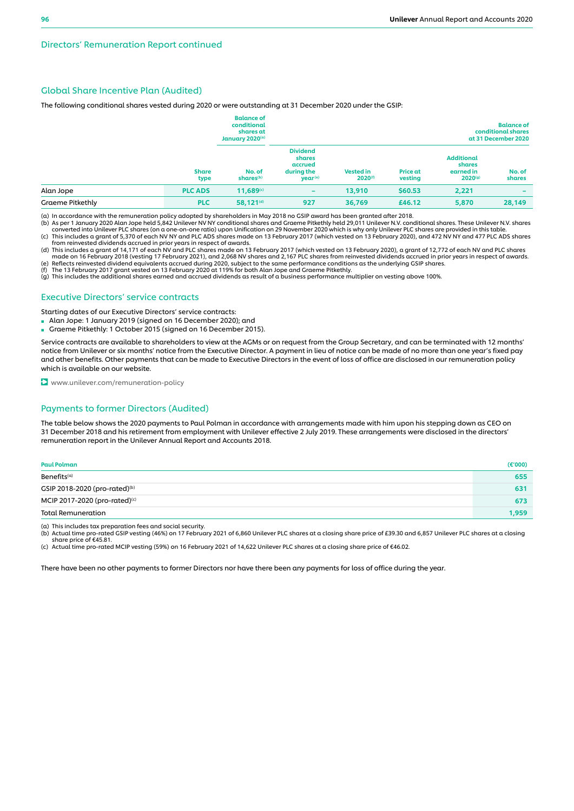## Global Share Incentive Plan (Audited)

The following conditional shares vested during 2020 or were outstanding at 31 December 2020 under the GSIP:

|                         |                      | <b>Balance of</b><br>conditional<br>shares at<br>January 2020(a) |                                                                           |                                  |                            |                                                          | <b>Balance of</b><br>conditional shares<br>at 31 December 2020 |
|-------------------------|----------------------|------------------------------------------------------------------|---------------------------------------------------------------------------|----------------------------------|----------------------------|----------------------------------------------------------|----------------------------------------------------------------|
|                         | <b>Share</b><br>type | No. of<br>shares <sup>(b)</sup>                                  | <b>Dividend</b><br>shares<br>accrued<br>during the<br>year <sup>(e)</sup> | <b>Vested in</b><br>$2020^{(f)}$ | <b>Price at</b><br>vesting | <b>Additional</b><br>shares<br>earned in<br>$2020^{(g)}$ | No. of<br>shares                                               |
| Alan Jope               | <b>PLC ADS</b>       | 11,689(c)                                                        | $\overline{\phantom{a}}$                                                  | 13,910                           | \$60.53                    | 2,221                                                    | $\overline{\phantom{a}}$                                       |
| <b>Graeme Pitkethly</b> | <b>PLC</b>           | 58,121 <sup>(d)</sup>                                            | 927                                                                       | 36,769                           | £46.12                     | 5,870                                                    | 28,149                                                         |

(a) In accordance with the remuneration policy adopted by shareholders in May 2018 no GSIP award has been granted after 2018.

(b) As per 1 January 2020 Alan Jope held 5,842 Unilever NV NY conditional shares and Graeme Pitkethly held 29,011 Unilever N.V. conditional shares. These Unilever N.V. shares (on a one-on-one ratio) upon Unification on 29

from reinvested dividends accrued in prior years in respect of awards.<br>(d) This includes a grant of 14,171 of each NV and PLC shares made on 13 February 2017 (which vested on 13 February 2020), a grant of 12,772 of each NV

(e) Reflects reinvested dividend equivalents accrued during 2020, subject to the same performance conditions as the underlying GSIP shares.<br>(f) The 13 February 2017 grant vested on 13 February 2020 at 119% for both Alan J

#### Executive Directors' service contracts

Starting dates of our Executive Directors' service contracts:

- Alan Jope: 1 January 2019 (signed on 16 December 2020); and
- Graeme Pitkethly: 1 October 2015 (signed on 16 December 2015).

Service contracts are available to shareholders to view at the AGMs or on request from the Group Secretary, and can be terminated with 12 months' notice from Unilever or six months' notice from the Executive Director. A payment in lieu of notice can be made of no more than one year's fixed pay and other benefits. Other payments that can be made to Executive Directors in the event of loss of office are disclosed in our remuneration policy which is available on our website.

**D** www.unilever.com/remuneration-policy

#### Payments to former Directors (Audited)

The table below shows the 2020 payments to Paul Polman in accordance with arrangements made with him upon his stepping down as CEO on 31 December 2018 and his retirement from employment with Unilever effective 2 July 2019. These arrangements were disclosed in the directors' remuneration report in the Unilever Annual Report and Accounts 2018.

| Paul Polman                               | $(\epsilon$ '000) |
|-------------------------------------------|-------------------|
| Benefits <sup>(a)</sup>                   | 655               |
| GSIP 2018-2020 (pro-rated) <sup>(b)</sup> | 631               |
| MCIP 2017-2020 (pro-rated) <sup>(c)</sup> | 673               |
| Total Remuneration                        | 1,959             |

(a) This includes tax preparation fees and social security.<br>(b) Actual time pro-rated GSIP vesting (46%) on 17 February 2021 of 6,860 Unilever PLC shares at a closing share price of £39.30 and 6,857 Unilever PLC shares at share price of €45.81.

(c) Actual time pro-rated MCIP vesting (59%) on 16 February 2021 of 14,622 Unilever PLC shares at a closing share price of €46.02.

There have been no other payments to former Directors nor have there been any payments for loss of office during the year.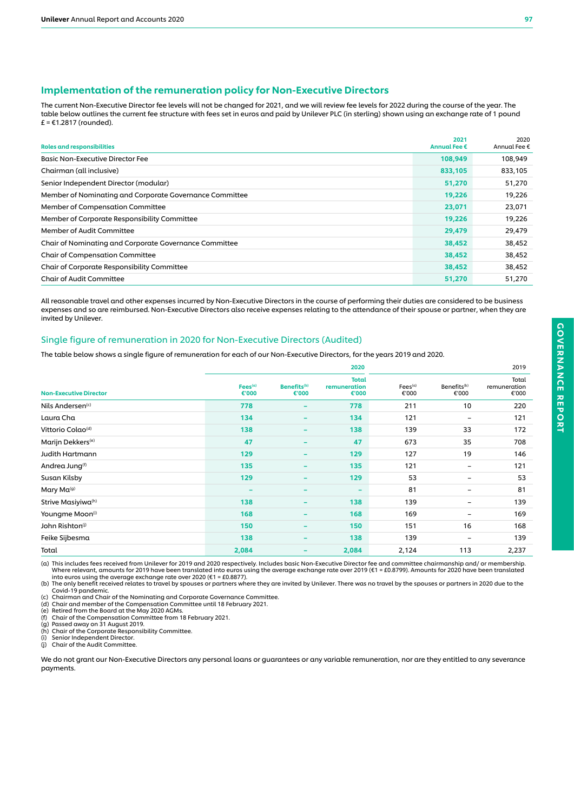## Implementation of the remuneration policy for Non-Executive Directors

The current Non-Executive Director fee levels will not be changed for 2021, and we will review fee levels for 2022 during the course of the year. The table below outlines the current fee structure with fees set in euros and paid by Unilever PLC (in sterling) shown using an exchange rate of 1 pound  $E = 61.2817$  (rounded).

| <b>Roles and responsibilities</b>                       | 2021<br>Annual Fee € | 2020<br>Annual Fee € |
|---------------------------------------------------------|----------------------|----------------------|
| <b>Basic Non-Executive Director Fee</b>                 | 108,949              | 108,949              |
| Chairman (all inclusive)                                | 833,105              | 833,105              |
| Senior Independent Director (modular)                   | 51,270               | 51,270               |
| Member of Nominating and Corporate Governance Committee | 19,226               | 19,226               |
| Member of Compensation Committee                        | 23,071               | 23,071               |
| Member of Corporate Responsibility Committee            | 19,226               | 19,226               |
| Member of Audit Committee                               | 29,479               | 29,479               |
| Chair of Nominating and Corporate Governance Committee  | 38,452               | 38,452               |
| <b>Chair of Compensation Committee</b>                  | 38,452               | 38,452               |
| <b>Chair of Corporate Responsibility Committee</b>      | 38,452               | 38,452               |
| Chair of Audit Committee                                | 51,270               | 51,270               |

All reasonable travel and other expenses incurred by Non-Executive Directors in the course of performing their duties are considered to be business expenses and so are reimbursed. Non-Executive Directors also receive expenses relating to the attendance of their spouse or partner, when they are invited by Unilever.

#### Single figure of remuneration in 2020 for Non-Executive Directors (Audited)

The table below shows a single figure of remuneration for each of our Non-Executive Directors, for the years 2019 and 2020.

|                               |                              |                                  | 2020                                  | 2019                         |                                  |                                |
|-------------------------------|------------------------------|----------------------------------|---------------------------------------|------------------------------|----------------------------------|--------------------------------|
| <b>Non-Executive Director</b> | Fees <sup>(a)</sup><br>€'000 | Benefits <sup>(b)</sup><br>€'000 | <b>Total</b><br>remuneration<br>€'000 | Fees <sup>(a)</sup><br>€'000 | Benefits <sup>(b)</sup><br>€'000 | Total<br>remuneration<br>€'000 |
| Nils Andersen <sup>(c)</sup>  | 778                          | $\overline{\phantom{a}}$         | 778                                   | 211                          | 10                               | 220                            |
| Laura Cha                     | 134                          | $\overline{\phantom{a}}$         | 134                                   | 121                          | -                                | 121                            |
| Vittorio Colao <sup>(d)</sup> | 138                          | $\overline{\phantom{a}}$         | 138                                   | 139                          | 33                               | 172                            |
| Marijn Dekkers <sup>(e)</sup> | 47                           | $\qquad \qquad \blacksquare$     | 47                                    | 673                          | 35                               | 708                            |
| <b>Judith Hartmann</b>        | 129                          | ۰                                | 129                                   | 127                          | 19                               | 146                            |
| Andrea Jung <sup>(f)</sup>    | 135                          | $\overline{\phantom{m}}$         | 135                                   | 121                          | -                                | 121                            |
| Susan Kilsby                  | 129                          | $\overline{\phantom{a}}$         | 129                                   | 53                           | -                                | 53                             |
| Mary Ma <sup>(g)</sup>        |                              | -                                | $\overline{\phantom{a}}$              | 81                           | -                                | 81                             |
| Strive Masiyiwa(h)            | 138                          | $\qquad \qquad \blacksquare$     | 138                                   | 139                          | -                                | 139                            |
| Youngme Moon <sup>(i)</sup>   | 168                          | $\qquad \qquad \blacksquare$     | 168                                   | 169                          | -                                | 169                            |
| John Rishton <sup>(j)</sup>   | 150                          | $\overline{\phantom{m}}$         | 150                                   | 151                          | 16                               | 168                            |
| Feike Sijbesma                | 138                          | $\qquad \qquad \blacksquare$     | 138                                   | 139                          | -                                | 139                            |
| Total                         | 2,084                        | $\qquad \qquad \blacksquare$     | 2,084                                 | 2,124                        | 113                              | 2,237                          |

(a) This includes fees received from Unilever for 2019 and 2020 respectively. Includes basic Non-Executive Director fee and committee chairmanship and/ or membership. Where relevant, amounts for 2019 have been translated into euros using the average exchange rate over 2019 (€1 = £0.8799). Amounts for 2020 have been translated<br>into euros using the average exchange rate over 2020 (€1 = £0

Covid-19 pandemic. (c) Chairman and Chair of the Nominating and Corporate Governance Committee. (d) Chair and member of the Compensation Committee until 18 February 2021.

(e) Retired from the Board at the May 2020 AGMs.<br>(f) Retired from the Board at the May 2020 AGMs.<br>(f) Chair of the Compensation Committee Committee (f) Chair of the Compensation Committee from 18 February 2021.

(g) Passed away on 31 August 2019.

(h) Chair of the Corporate Responsibility Committee. (i) Senior Independent Director.

(j) Chair of the Audit Committee.

We do not grant our Non-Executive Directors any personal loans or guarantees or any variable remuneration, nor are they entitled to any severance payments.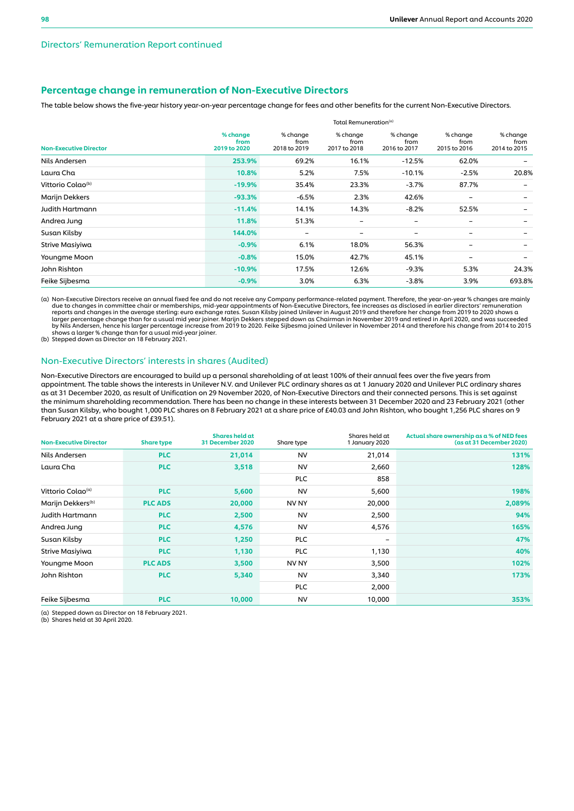#### Directors' Remuneration Report continued

## Percentage change in remuneration of Non-Executive Directors

The table below shows the five-year history year-on-year percentage change for fees and other benefits for the current Non-Executive Directors.

|                               | Total Remuneration <sup>(a)</sup> |                                  |                                  |                                  |                                  |                                  |  |  |  |
|-------------------------------|-----------------------------------|----------------------------------|----------------------------------|----------------------------------|----------------------------------|----------------------------------|--|--|--|
| <b>Non-Executive Director</b> | % change<br>from<br>2019 to 2020  | % change<br>from<br>2018 to 2019 | % change<br>from<br>2017 to 2018 | % change<br>from<br>2016 to 2017 | % change<br>from<br>2015 to 2016 | % change<br>from<br>2014 to 2015 |  |  |  |
| Nils Andersen                 | 253.9%                            | 69.2%                            | 16.1%                            | $-12.5%$                         | 62.0%                            |                                  |  |  |  |
| Laura Cha                     | 10.8%                             | 5.2%                             | 7.5%                             | $-10.1%$                         | $-2.5%$                          | 20.8%                            |  |  |  |
| Vittorio Colao <sup>(b)</sup> | $-19.9%$                          | 35.4%                            | 23.3%                            | $-3.7%$                          | 87.7%                            |                                  |  |  |  |
| Marijn Dekkers                | $-93.3%$                          | $-6.5%$                          | 2.3%                             | 42.6%                            |                                  |                                  |  |  |  |
| Judith Hartmann               | $-11.4%$                          | 14.1%                            | 14.3%                            | $-8.2%$                          | 52.5%                            |                                  |  |  |  |
| Andrea Jung                   | 11.8%                             | 51.3%                            |                                  | -                                | -                                |                                  |  |  |  |
| Susan Kilsby                  | 144.0%                            | $\overline{\phantom{0}}$         | $\overline{\phantom{0}}$         | -                                | -                                |                                  |  |  |  |
| Strive Masiyiwa               | $-0.9%$                           | 6.1%                             | 18.0%                            | 56.3%                            |                                  |                                  |  |  |  |
| Youngme Moon                  | $-0.8%$                           | 15.0%                            | 42.7%                            | 45.1%                            | -                                | $\overline{\phantom{0}}$         |  |  |  |
| John Rishton                  | $-10.9%$                          | 17.5%                            | 12.6%                            | $-9.3%$                          | 5.3%                             | 24.3%                            |  |  |  |
| Feike Sijbesma                | $-0.9%$                           | 3.0%                             | 6.3%                             | $-3.8%$                          | 3.9%                             | 693.8%                           |  |  |  |

(a) Non-Executive Directors receive an annual fixed fee and do not receive any Company performance-related payment. Therefore, the year-on-year % changes are mainly<br>due to changes in committee chair or memberships, mid-yea reports and changes in the average sterling: euro exchange rates. Susan Kilsby joined Unilever in August 2019 and therefore her change from 2019 to 2020 shows a<br>larger percentage change than for a usual mid year joiner. Ma

(b) Stepped down as Director on 18 February 2021.

#### Non-Executive Directors' interests in shares (Audited)

Non-Executive Directors are encouraged to build up a personal shareholding of at least 100% of their annual fees over the five years from appointment. The table shows the interests in Unilever N.V. and Unilever PLC ordinary shares as at 1 January 2020 and Unilever PLC ordinary shares as at 31 December 2020, as result of Unification on 29 November 2020, of Non-Executive Directors and their connected persons. This is set against the minimum shareholding recommendation. There has been no change in these interests between 31 December 2020 and 23 February 2021 (other than Susan Kilsby, who bought 1,000 PLC shares on 8 February 2021 at a share price of £40.03 and John Rishton, who bought 1,256 PLC shares on 9 February 2021 at a share price of £39.51).

| <b>Non-Executive Director</b> | <b>Share type</b> | Shares held at<br>31 December 2020 | Share type       | Shares held at<br>1 January 2020 | Actual share ownership as a % of NED fees<br>(as at 31 December 2020) |
|-------------------------------|-------------------|------------------------------------|------------------|----------------------------------|-----------------------------------------------------------------------|
| Nils Andersen                 | <b>PLC</b>        | 21,014                             | <b>NV</b>        | 21,014                           | 131%                                                                  |
| Laura Cha                     | <b>PLC</b>        | 3,518                              | <b>NV</b>        | 2,660                            | 128%                                                                  |
|                               |                   |                                    | <b>PLC</b>       | 858                              |                                                                       |
| Vittorio Colao <sup>(a)</sup> | <b>PLC</b>        | 5,600                              | <b>NV</b>        | 5,600                            | 198%                                                                  |
| Marijn Dekkers <sup>(b)</sup> | <b>PLC ADS</b>    | 20,000                             | NV <sub>NY</sub> | 20,000                           | 2,089%                                                                |
| Judith Hartmann               | <b>PLC</b>        | 2,500                              | <b>NV</b>        | 2,500                            | 94%                                                                   |
| Andrea Jung                   | <b>PLC</b>        | 4,576                              | <b>NV</b>        | 4,576                            | 165%                                                                  |
| Susan Kilsby                  | <b>PLC</b>        | 1,250                              | <b>PLC</b>       | -                                | 47%                                                                   |
| Strive Masiyiwa               | <b>PLC</b>        | 1,130                              | <b>PLC</b>       | 1,130                            | 40%                                                                   |
| Youngme Moon                  | <b>PLC ADS</b>    | 3,500                              | NV NY            | 3,500                            | 102%                                                                  |
| John Rishton                  | <b>PLC</b>        | 5,340                              | <b>NV</b>        | 3,340                            | 173%                                                                  |
|                               |                   |                                    | <b>PLC</b>       | 2,000                            |                                                                       |
| Feike Sijbesma                | <b>PLC</b>        | 10,000                             | <b>NV</b>        | 10,000                           | 353%                                                                  |

(a) Stepped down as Director on 18 February 2021. (b) Shares held at 30 April 2020.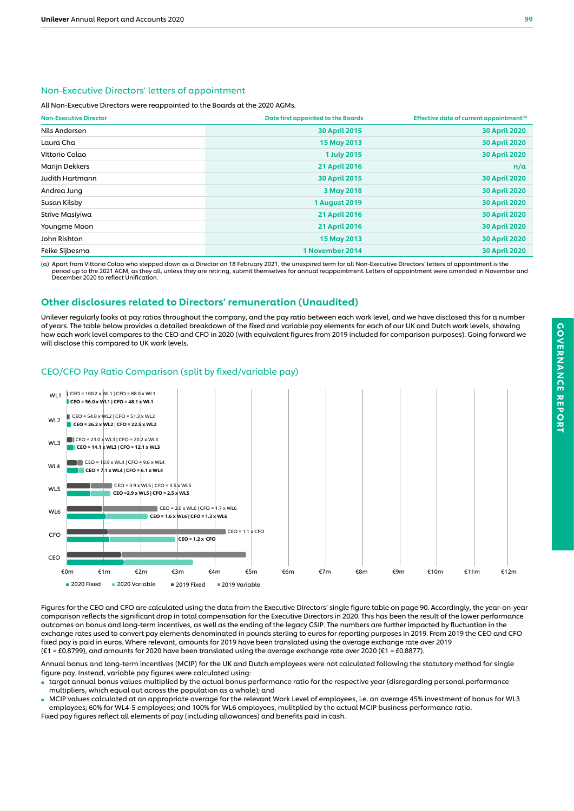## Non-Executive Directors' letters of appointment

All Non-Executive Directors were reappointed to the Boards at the 2020 AGMs.

| <b>Non-Executive Director</b> | Date first appointed to the Boards | Effective date of current appointment <sup>(a)</sup> |
|-------------------------------|------------------------------------|------------------------------------------------------|
| Nils Andersen                 | <b>30 April 2015</b>               | <b>30 April 2020</b>                                 |
| Laura Cha                     | 15 May 2013                        | <b>30 April 2020</b>                                 |
| Vittorio Colao                | <b>1 July 2015</b>                 | <b>30 April 2020</b>                                 |
| Marijn Dekkers                | <b>21 April 2016</b>               | n/a                                                  |
| <b>Judith Hartmann</b>        | <b>30 April 2015</b>               | <b>30 April 2020</b>                                 |
| Andrea Jung                   | 3 May 2018                         | <b>30 April 2020</b>                                 |
| Susan Kilsby                  | <b>1 August 2019</b>               | <b>30 April 2020</b>                                 |
| Strive Masiyiwa               | <b>21 April 2016</b>               | <b>30 April 2020</b>                                 |
| Youngme Moon                  | <b>21 April 2016</b>               | <b>30 April 2020</b>                                 |
| John Rishton                  | 15 May 2013                        | <b>30 April 2020</b>                                 |
| Feike Sijbesma                | 1 November 2014                    | <b>30 April 2020</b>                                 |

(a) Apart from Vittorio Colao who stepped down as a Director on 18 February 2021, the unexpired term for all Non-Executive Directors' letters of appointment is the<br>period up to the 2021 AGM, as they all, unless they are re December 2020 to reflect Unification.

## Other disclosures related to Directors' remuneration (Unaudited)

Unilever regularly looks at pay ratios throughout the company, and the pay ratio between each work level, and we have disclosed this for a number of years. The table below provides a detailed breakdown of the fixed and variable pay elements for each of our UK and Dutch work levels, showing how each work level compares to the CEO and CFO in 2020 (with equivalent figures from 2019 included for comparison purposes). Going forward we will disclose this compared to UK work levels.

## CEO/CFO Pay Ratio Comparison (split by fixed/variable pay)



Figures for the CEO and CFO are calculated using the data from the Executive Directors' single figure table on page 90. Accordingly, the year-on-year comparison reflects the significant drop in total compensation for the Executive Directors in 2020. This has been the result of the lower performance outcomes on bonus and long-term incentives, as well as the ending of the legacy GSIP. The numbers are further impacted by fluctuation in the exchange rates used to convert pay elements denominated in pounds sterling to euros for reporting purposes in 2019. From 2019 the CEO and CFO fixed pay is paid in euros. Where relevant, amounts for 2019 have been translated using the average exchange rate over 2019 (€1 = £0.8799), and amounts for 2020 have been translated using the average exchange rate over 2020 (€1 = £0.8877).

Annual bonus and long-term incentives (MCIP) for the UK and Dutch employees were not calculated following the statutory method for single figure pay. Instead, variable pay figures were calculated using:

- target annual bonus values multiplied by the actual bonus performance ratio for the respective year (disregarding personal performance multipliers, which equal out across the population as a whole); and
- MCIP values calculated at an appropriate average for the relevant Work Level of employees, i.e. an average 45% investment of bonus for WL3 employees; 60% for WL4-5 employees; and 100% for WL6 employees, mulitplied by the actual MCIP business performance ratio. Fixed pay figures reflect all elements of pay (including allowances) and benefits paid in cash.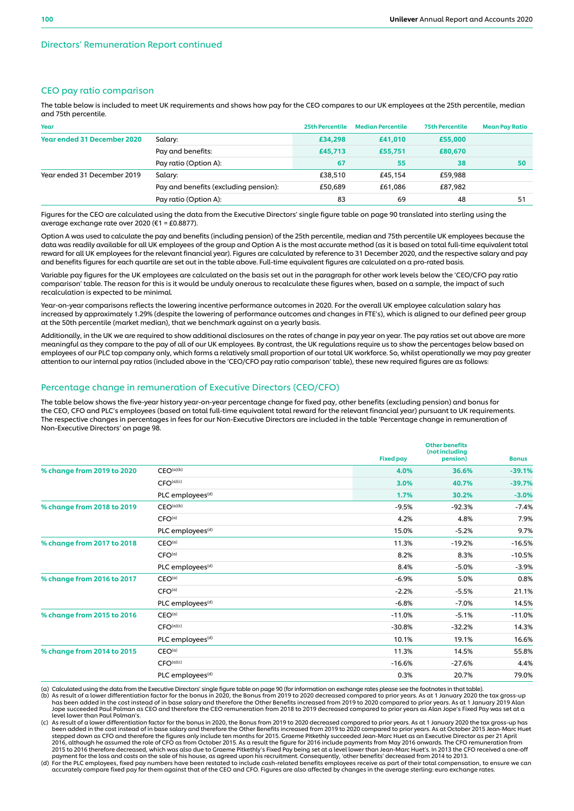## CEO pay ratio comparison

The table below is included to meet UK requirements and shows how pay for the CEO compares to our UK employees at the 25th percentile, median and 75th percentile.

| Year                               |                                       | 25th Percentile | <b>Median Percentile</b> | <b>75th Percentile</b> | <b>Mean Pay Ratio</b> |
|------------------------------------|---------------------------------------|-----------------|--------------------------|------------------------|-----------------------|
| <b>Year ended 31 December 2020</b> | Salary:                               | £34,298         | £41,010                  | £55,000                |                       |
|                                    | Pay and benefits:                     | £45,713         | £55,751                  | £80,670                |                       |
|                                    | Pay ratio (Option A):                 | 67              | 55                       | 38                     | 50                    |
| Year ended 31 December 2019        | Salary:                               | £38,510         | £45,154                  | £59,988                |                       |
|                                    | Pay and benefits (excluding pension): | £50.689         | £61.086                  | £87,982                |                       |
|                                    | Pay ratio (Option A):                 | 83              | 69                       | 48                     | 51                    |

Figures for the CEO are calculated using the data from the Executive Directors' single figure table on page 90 translated into sterling using the average exchange rate over 2020 (€1 = £0.8877).

Option A was used to calculate the pay and benefits (including pension) of the 25th percentile, median and 75th percentile UK employees because the data was readily available for all UK employees of the group and Option A is the most accurate method (as it is based on total full-time equivalent total reward for all UK employees for the relevant financial year). Figures are calculated by reference to 31 December 2020, and the respective salary and pay and benefits figures for each quartile are set out in the table above. Full-time equivalent figures are calculated on a pro-rated basis.

Variable pay figures for the UK employees are calculated on the basis set out in the paragraph for other work levels below the 'CEO/CFO pay ratio comparison' table. The reason for this is it would be unduly onerous to recalculate these figures when, based on a sample, the impact of such recalculation is expected to be minimal.

Year-on-year comparisons reflects the lowering incentive performance outcomes in 2020. For the overall UK employee calculation salary has increased by approximately 1.29% (despite the lowering of performance outcomes and changes in FTE's), which is aligned to our defined peer group at the 50th percentile (market median), that we benchmark against on a yearly basis.

Additionally, in the UK we are required to show additional disclosures on the rates of change in pay year on year. The pay ratios set out above are more meaningful as they compare to the pay of all of our UK employees. By contrast, the UK regulations require us to show the percentages below based on employees of our PLC top company only, which forms a relatively small proportion of our total UK workforce. So, whilst operationally we may pay greater attention to our internal pay ratios (included above in the 'CEO/CFO pay ratio comparison' table), these new required figures are as follows:

#### Percentage change in remuneration of Executive Directors (CEO/CFO)

The table below shows the five-year history year-on-year percentage change for fixed pay, other benefits (excluding pension) and bonus for the CEO, CFO and PLC's employees (based on total full-time equivalent total reward for the relevant financial year) pursuant to UK requirements. The respective changes in percentages in fees for our Non-Executive Directors are included in the table 'Percentage change in remuneration of Non-Executive Directors' on page 98.

|                            |                              | <b>Fixed pay</b> | <b>Other benefits</b><br>(not including<br>pension) | <b>Bonus</b> |
|----------------------------|------------------------------|------------------|-----------------------------------------------------|--------------|
| % change from 2019 to 2020 | CEO <sup>(a)(b)</sup>        | 4.0%             | 36.6%                                               | $-39.1%$     |
|                            | CFO <sup>(a)(c)</sup>        | 3.0%             | 40.7%                                               | $-39.7%$     |
|                            | PLC employees <sup>(d)</sup> | 1.7%             | 30.2%                                               | $-3.0%$      |
| % change from 2018 to 2019 | CEO <sup>(a)(b)</sup>        | $-9.5%$          | $-92.3%$                                            | $-7.4%$      |
|                            | CFO <sup>(a)</sup>           | 4.2%             | 4.8%                                                | 7.9%         |
|                            | PLC employees <sup>(d)</sup> | 15.0%            | $-5.2%$                                             | 9.7%         |
| % change from 2017 to 2018 | CEO <sup>(a)</sup>           | 11.3%            | $-19.2%$                                            | $-16.5%$     |
|                            | CFO <sup>(a)</sup>           | 8.2%             | 8.3%                                                | $-10.5%$     |
|                            | PLC employees <sup>(d)</sup> | 8.4%             | $-5.0%$                                             | $-3.9%$      |
| % change from 2016 to 2017 | CEO <sup>(a)</sup>           | $-6.9%$          | 5.0%                                                | 0.8%         |
|                            | CFO <sup>(a)</sup>           | $-2.2%$          | $-5.5%$                                             | 21.1%        |
|                            | PLC employees <sup>(d)</sup> | $-6.8%$          | $-7.0%$                                             | 14.5%        |
| % change from 2015 to 2016 | CEO <sup>(a)</sup>           | $-11.0%$         | $-5.1%$                                             | $-11.0%$     |
|                            | CFO <sup>(a)(c)</sup>        | $-30.8%$         | $-32.2%$                                            | 14.3%        |
|                            | PLC employees <sup>(d)</sup> | 10.1%            | 19.1%                                               | 16.6%        |
| % change from 2014 to 2015 | CEO <sup>(a)</sup>           | 11.3%            | 14.5%                                               | 55.8%        |
|                            | CFO <sup>(a)(c)</sup>        | $-16.6%$         | $-27.6%$                                            | 4.4%         |
|                            | PLC employees <sup>(d)</sup> | 0.3%             | 20.7%                                               | 79.0%        |

(a) Calculated using the data from the Executive Directors' single figure table on page 90 (for information on exchange rates please see the footnotes in that table).<br>(b) As result of a lower differentiation factor for the

has been added in the cost instead of in base salary and therefore the Other Benefits increased from 2019 to 2020 compared to prior years. As at 1 January 2019 Alan Jope succeeded Paul Polman as CEO and therefore the CEO remuneration from 2018 to 2019 decreased compared to prior years as Alan Jope's Fixed Pay was set at a level lower than Paul Polman's.

(c) As result of a lower differentiation factor for the bonus in 2020, the Bonus from 2019 to 2020 decreased compared to prior years. As at 1 January 2020 the tax gross-up has been added in the cost instead of in base salary and therefore the Other Benefits increased from 2019 to 2020 compared to prior years. As at October 2015 Jean-Marc Huet<br>stepped down as CFO and therefore the figures only in 2016, although he assumed the role of CFO as from October 2015. As a result the figure for 2016 include payments from May 2016 onwards. The CFO remuneration from<br>2015 to 2016 therefore decreased, which was also due to Grae

(d) For the PLC employees, fixed pay numbers have been restated to include cash-related benefits employees receive as part of their total compensation, to ensure we can<br>accurately compare fixed pay for them against that of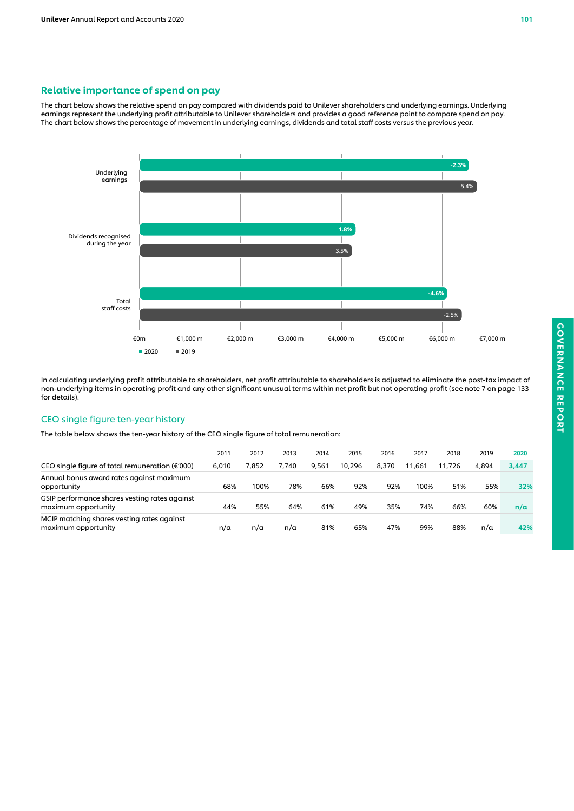## Relative importance of spend on pay

The chart below shows the relative spend on pay compared with dividends paid to Unilever shareholders and underlying earnings. Underlying earnings represent the underlying profit attributable to Unilever shareholders and provides a good reference point to compare spend on pay. The chart below shows the percentage of movement in underlying earnings, dividends and total staff costs versus the previous year.



In calculating underlying profit attributable to shareholders, net profit attributable to shareholders is adjusted to eliminate the post-tax impact of non-underlying items in operating profit and any other significant unusual terms within net profit but not operating profit (see note 7 on page 133 for details).

## CEO single figure ten-year history

The table below shows the ten-year history of the CEO single figure of total remuneration:

|                                                                      | 2011  | 2012  | 2013  | 2014  | 2015   | 2016  | 2017   | 2018   | 2019  | 2020  |
|----------------------------------------------------------------------|-------|-------|-------|-------|--------|-------|--------|--------|-------|-------|
| CEO single figure of total remuneration ( $\epsilon$ '000)           | 6.010 | 7.852 | 7.740 | 9.561 | 10.296 | 8.370 | 11.661 | 11.726 | 4.894 | 3,447 |
| Annual bonus award rates against maximum<br>opportunity              | 68%   | 100%  | 78%   | 66%   | 92%    | 92%   | 100%   | 51%    | 55%   | 32%   |
| GSIP performance shares vesting rates against<br>maximum opportunity | 44%   | 55%   | 64%   | 61%   | 49%    | 35%   | 74%    | 66%    | 60%   | n/a   |
| MCIP matching shares vesting rates against<br>maximum opportunity    | n/a   | n/a   | n/a   | 81%   | 65%    | 47%   | 99%    | 88%    | n/a   | 42%   |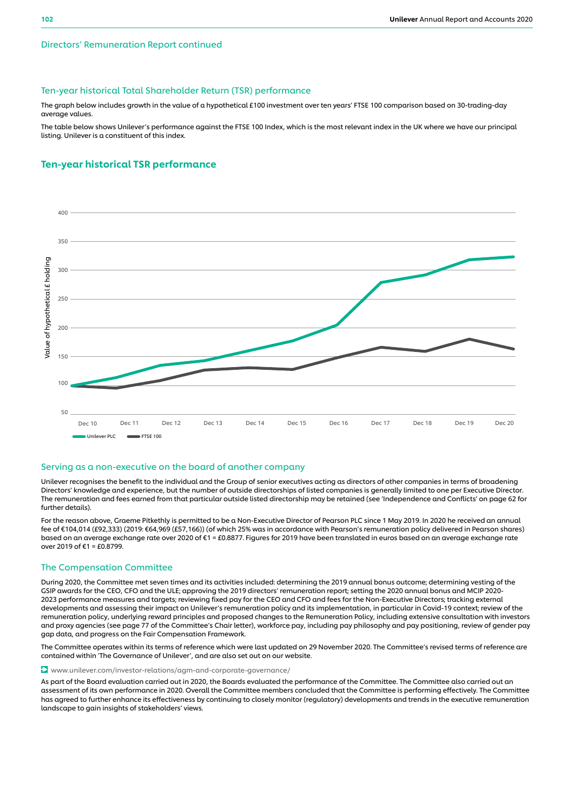### Directors' Remuneration Report continued

#### Ten-year historical Total Shareholder Return (TSR) performance

The graph below includes growth in the value of a hypothetical £100 investment over ten years' FTSE 100 comparison based on 30-trading-day average values.

The table below shows Unilever's performance against the FTSE 100 Index, which is the most relevant index in the UK where we have our principal listing. Unilever is a constituent of this index.

## Ten-year historical TSR performance



#### Serving as a non-executive on the board of another company

Unilever recognises the benefit to the individual and the Group of senior executives acting as directors of other companies in terms of broadening Directors' knowledge and experience, but the number of outside directorships of listed companies is generally limited to one per Executive Director. The remuneration and fees earned from that particular outside listed directorship may be retained (see 'Independence and Conflicts' on page 62 for further details).

For the reason above, Graeme Pitkethly is permitted to be a Non-Executive Director of Pearson PLC since 1 May 2019. In 2020 he received an annual fee of €104,014 (£92,333) (2019: €64,969 (£57,166)) (of which 25% was in accordance with Pearson's remuneration policy delivered in Pearson shares) based on an average exchange rate over 2020 of €1 = £0.8877. Figures for 2019 have been translated in euros based on an average exchange rate over 2019 of €1 = £0.8799.

#### The Compensation Committee

During 2020, the Committee met seven times and its activities included: determining the 2019 annual bonus outcome; determining vesting of the GSIP awards for the CEO, CFO and the ULE; approving the 2019 directors' remuneration report; setting the 2020 annual bonus and MCIP 2020- 2023 performance measures and targets; reviewing fixed pay for the CEO and CFO and fees for the Non-Executive Directors; tracking external developments and assessing their impact on Unilever's remuneration policy and its implementation, in particular in Covid-19 context; review of the remuneration policy, underlying reward principles and proposed changes to the Remuneration Policy, including extensive consultation with investors and proxy agencies (see page 77 of the Committee's Chair letter), workforce pay, including pay philosophy and pay positioning, review of gender pay gap data, and progress on the Fair Compensation Framework.

The Committee operates within its terms of reference which were last updated on 29 November 2020. The Committee's revised terms of reference are contained within 'The Governance of Unilever', and are also set out on our website.

#### www.unilever.com/investor-relations/agm-and-corporate-governance/

As part of the Board evaluation carried out in 2020, the Boards evaluated the performance of the Committee. The Committee also carried out an assessment of its own performance in 2020. Overall the Committee members concluded that the Committee is performing effectively. The Committee has agreed to further enhance its effectiveness by continuing to closely monitor (regulatory) developments and trends in the executive remuneration